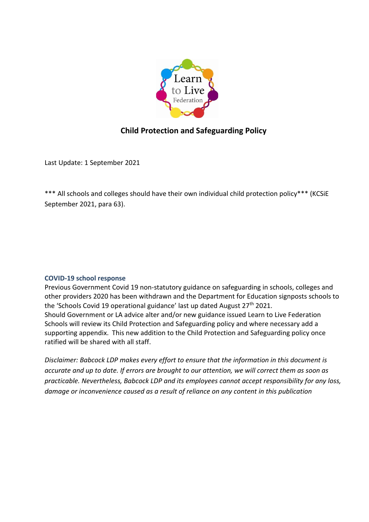

# **Child Protection and Safeguarding Policy**

Last Update: 1 September 2021

\*\*\* All schools and colleges should have their own individual child protection policy\*\*\* (KCSiE September 2021, para 63).

#### **COVID-19 school response**

Previous Government Covid 19 non-statutory guidance on safeguarding in schools, colleges and other providers 2020 has been withdrawn and the Department for Education signposts schools to the 'Schools Covid 19 operational guidance' last up dated August  $27<sup>th</sup> 2021$ . Should Government or LA advice alter and/or new guidance issued Learn to Live Federation Schools will review its Child Protection and Safeguarding policy and where necessary add a supporting appendix. This new addition to the Child Protection and Safeguarding policy once ratified will be shared with all staff.

*Disclaimer: Babcock LDP makes every effort to ensure that the information in this document is accurate and up to date. If errors are brought to our attention, we will correct them as soon as practicable. Nevertheless, Babcock LDP and its employees cannot accept responsibility for any loss, damage or inconvenience caused as a result of reliance on any content in this publication*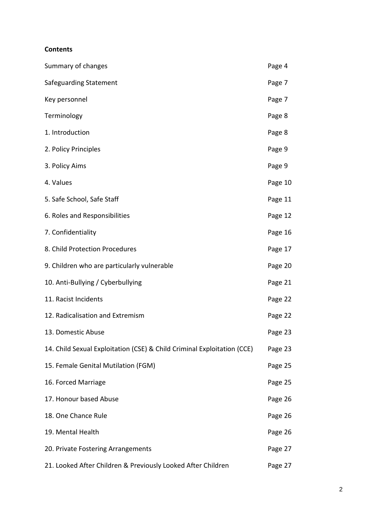#### **Contents**

| Summary of changes                                                      | Page 4  |
|-------------------------------------------------------------------------|---------|
| Safeguarding Statement                                                  | Page 7  |
| Key personnel                                                           | Page 7  |
| Terminology                                                             | Page 8  |
| 1. Introduction                                                         | Page 8  |
| 2. Policy Principles                                                    | Page 9  |
| 3. Policy Aims                                                          | Page 9  |
| 4. Values                                                               | Page 10 |
| 5. Safe School, Safe Staff                                              | Page 11 |
| 6. Roles and Responsibilities                                           | Page 12 |
| 7. Confidentiality                                                      | Page 16 |
| 8. Child Protection Procedures                                          | Page 17 |
| 9. Children who are particularly vulnerable                             | Page 20 |
| 10. Anti-Bullying / Cyberbullying                                       | Page 21 |
| 11. Racist Incidents                                                    | Page 22 |
| 12. Radicalisation and Extremism                                        | Page 22 |
| 13. Domestic Abuse                                                      | Page 23 |
| 14. Child Sexual Exploitation (CSE) & Child Criminal Exploitation (CCE) | Page 23 |
| 15. Female Genital Mutilation (FGM)                                     | Page 25 |
| 16. Forced Marriage                                                     | Page 25 |
| 17. Honour based Abuse                                                  | Page 26 |
| 18. One Chance Rule                                                     | Page 26 |
| 19. Mental Health                                                       | Page 26 |
| 20. Private Fostering Arrangements                                      | Page 27 |
| 21. Looked After Children & Previously Looked After Children            | Page 27 |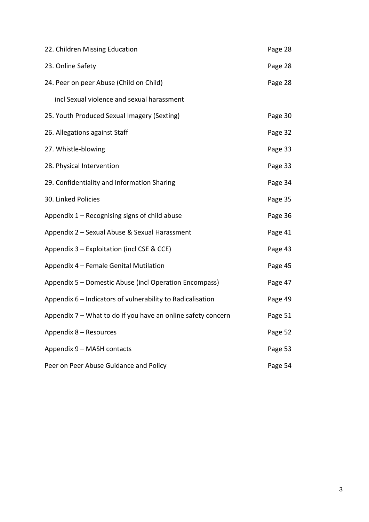| 22. Children Missing Education                               |         |  |  |  |
|--------------------------------------------------------------|---------|--|--|--|
| 23. Online Safety                                            |         |  |  |  |
| 24. Peer on peer Abuse (Child on Child)                      | Page 28 |  |  |  |
| incl Sexual violence and sexual harassment                   |         |  |  |  |
| 25. Youth Produced Sexual Imagery (Sexting)                  | Page 30 |  |  |  |
| 26. Allegations against Staff                                | Page 32 |  |  |  |
| 27. Whistle-blowing                                          |         |  |  |  |
| 28. Physical Intervention                                    | Page 33 |  |  |  |
| 29. Confidentiality and Information Sharing                  | Page 34 |  |  |  |
| 30. Linked Policies                                          | Page 35 |  |  |  |
| Appendix $1 -$ Recognising signs of child abuse              | Page 36 |  |  |  |
| Appendix 2 - Sexual Abuse & Sexual Harassment                | Page 41 |  |  |  |
| Appendix 3 - Exploitation (incl CSE & CCE)                   |         |  |  |  |
| Appendix 4 - Female Genital Mutilation                       |         |  |  |  |
| Appendix 5 - Domestic Abuse (incl Operation Encompass)       |         |  |  |  |
| Appendix 6 - Indicators of vulnerability to Radicalisation   |         |  |  |  |
| Appendix 7 – What to do if you have an online safety concern | Page 51 |  |  |  |
| Appendix 8 - Resources                                       | Page 52 |  |  |  |
| Appendix 9 - MASH contacts                                   | Page 53 |  |  |  |
| Peer on Peer Abuse Guidance and Policy                       | Page 54 |  |  |  |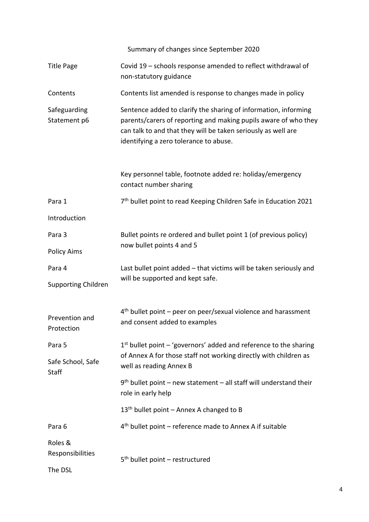Summary of changes since September 2020

| <b>Title Page</b>                 | Covid 19 - schools response amended to reflect withdrawal of<br>non-statutory guidance                                                                                                                                                        |  |
|-----------------------------------|-----------------------------------------------------------------------------------------------------------------------------------------------------------------------------------------------------------------------------------------------|--|
| Contents                          | Contents list amended is response to changes made in policy                                                                                                                                                                                   |  |
| Safeguarding<br>Statement p6      | Sentence added to clarify the sharing of information, informing<br>parents/carers of reporting and making pupils aware of who they<br>can talk to and that they will be taken seriously as well are<br>identifying a zero tolerance to abuse. |  |
|                                   | Key personnel table, footnote added re: holiday/emergency<br>contact number sharing                                                                                                                                                           |  |
| Para 1                            | 7 <sup>th</sup> bullet point to read Keeping Children Safe in Education 2021                                                                                                                                                                  |  |
| Introduction                      |                                                                                                                                                                                                                                               |  |
| Para 3                            | Bullet points re ordered and bullet point 1 (of previous policy)                                                                                                                                                                              |  |
| <b>Policy Aims</b>                | now bullet points 4 and 5                                                                                                                                                                                                                     |  |
| Para 4                            | Last bullet point added – that victims will be taken seriously and                                                                                                                                                                            |  |
| <b>Supporting Children</b>        | will be supported and kept safe.                                                                                                                                                                                                              |  |
| Prevention and<br>Protection      | $4th$ bullet point – peer on peer/sexual violence and harassment<br>and consent added to examples                                                                                                                                             |  |
| Para 5                            | $1st$ bullet point – 'governors' added and reference to the sharing                                                                                                                                                                           |  |
| Safe School, Safe<br><b>Staff</b> | of Annex A for those staff not working directly with children as<br>well as reading Annex B                                                                                                                                                   |  |
|                                   | $9th$ bullet point – new statement – all staff will understand their<br>role in early help                                                                                                                                                    |  |
|                                   | 13 <sup>th</sup> bullet point - Annex A changed to B                                                                                                                                                                                          |  |
| Para 6                            | $4th$ bullet point – reference made to Annex A if suitable                                                                                                                                                                                    |  |
| Roles &<br>Responsibilities       | $5th$ bullet point – restructured                                                                                                                                                                                                             |  |
| The DSL                           |                                                                                                                                                                                                                                               |  |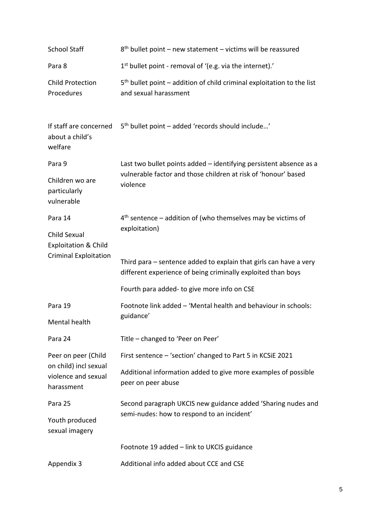| <b>School Staff</b>                                        | $8th$ bullet point – new statement – victims will be reassured                                                                    |  |  |
|------------------------------------------------------------|-----------------------------------------------------------------------------------------------------------------------------------|--|--|
| Para 8                                                     | 1 <sup>st</sup> bullet point - removal of '(e.g. via the internet).'                                                              |  |  |
| <b>Child Protection</b><br>Procedures                      | $5th$ bullet point – addition of child criminal exploitation to the list<br>and sexual harassment                                 |  |  |
| If staff are concerned<br>about a child's<br>welfare       | 5 <sup>th</sup> bullet point - added 'records should include'                                                                     |  |  |
| Para 9                                                     | Last two bullet points added - identifying persistent absence as a                                                                |  |  |
| Children wo are<br>particularly<br>vulnerable              | vulnerable factor and those children at risk of 'honour' based<br>violence                                                        |  |  |
| Para 14                                                    | $4th$ sentence – addition of (who themselves may be victims of                                                                    |  |  |
| Child Sexual<br><b>Exploitation &amp; Child</b>            | exploitation)                                                                                                                     |  |  |
| <b>Criminal Exploitation</b>                               | Third para – sentence added to explain that girls can have a very<br>different experience of being criminally exploited than boys |  |  |
|                                                            | Fourth para added- to give more info on CSE                                                                                       |  |  |
| Para 19                                                    | Footnote link added - 'Mental health and behaviour in schools:                                                                    |  |  |
| Mental health                                              | guidance'                                                                                                                         |  |  |
| Para 24                                                    | Title - changed to 'Peer on Peer'                                                                                                 |  |  |
| Peer on peer (Child                                        | First sentence - 'section' changed to Part 5 in KCSiE 2021                                                                        |  |  |
| on child) incl sexual<br>violence and sexual<br>harassment | Additional information added to give more examples of possible<br>peer on peer abuse                                              |  |  |
| Para 25                                                    | Second paragraph UKCIS new guidance added 'Sharing nudes and                                                                      |  |  |
| Youth produced<br>sexual imagery                           | semi-nudes: how to respond to an incident'                                                                                        |  |  |
|                                                            | Footnote 19 added - link to UKCIS guidance                                                                                        |  |  |
| Appendix 3                                                 | Additional info added about CCE and CSE                                                                                           |  |  |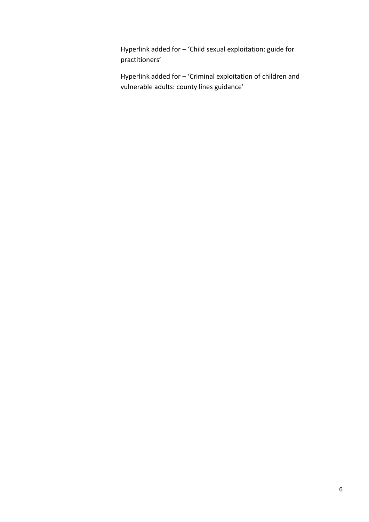Hyperlink added for – 'Child sexual exploitation: guide for practitioners'

Hyperlink added for – 'Criminal exploitation of children and vulnerable adults: county lines guidance'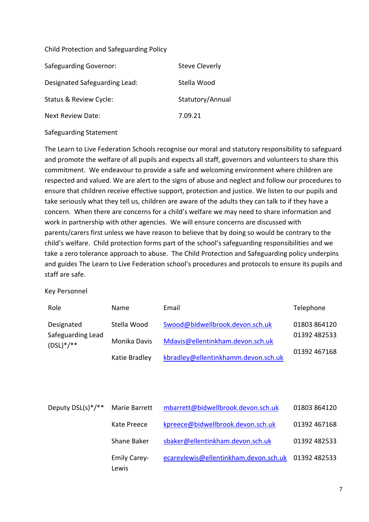#### Child Protection and Safeguarding Policy

| <b>Safeguarding Governor:</b> | Steve Cleverly   |
|-------------------------------|------------------|
| Designated Safeguarding Lead: | Stella Wood      |
| Status & Review Cycle:        | Statutory/Annual |
| Next Review Date:             | 7.09.21          |

Safeguarding Statement

The Learn to Live Federation Schools recognise our moral and statutory responsibility to safeguard and promote the welfare of all pupils and expects all staff, governors and volunteers to share this commitment. We endeavour to provide a safe and welcoming environment where children are respected and valued. We are alert to the signs of abuse and neglect and follow our procedures to ensure that children receive effective support, protection and justice. We listen to our pupils and take seriously what they tell us, children are aware of the adults they can talk to if they have a concern. When there are concerns for a child's welfare we may need to share information and work in partnership with other agencies. We will ensure concerns are discussed with parents/carers first unless we have reason to believe that by doing so would be contrary to the child's welfare. Child protection forms part of the school's safeguarding responsibilities and we take a zero tolerance approach to abuse. The Child Protection and Safeguarding policy underpins and guides The Learn to Live Federation school's procedures and protocols to ensure its pupils and staff are safe.

#### Key Personnel

| Role                                           | Name          | Email                               | Telephone    |
|------------------------------------------------|---------------|-------------------------------------|--------------|
| Designated<br>Safeguarding Lead<br>$(DSL)*/**$ | Stella Wood   | Swood@bidwellbrook.devon.sch.uk     | 01803 864120 |
|                                                | Monika Davis  | Mdavis@ellentinkham.devon.sch.uk    | 01392 482533 |
|                                                | Katie Bradley | kbradley@ellentinkhamm.devon.sch.uk | 01392 467168 |
|                                                |               |                                     |              |

| Deputy DSL(s) $*/**$ | Marie Barrett                | mbarrett@bidwellbrook.devon.sch.uk                 | 01803 864120 |
|----------------------|------------------------------|----------------------------------------------------|--------------|
|                      | Kate Preece                  | kpreece@bidwellbrook.devon.sch.uk                  | 01392 467168 |
|                      | Shane Baker                  | sbaker@ellentinkham.devon.sch.uk                   | 01392 482533 |
|                      | <b>Emily Carey-</b><br>Lewis | ecareylewis@ellentinkham.devon.sch.uk 01392 482533 |              |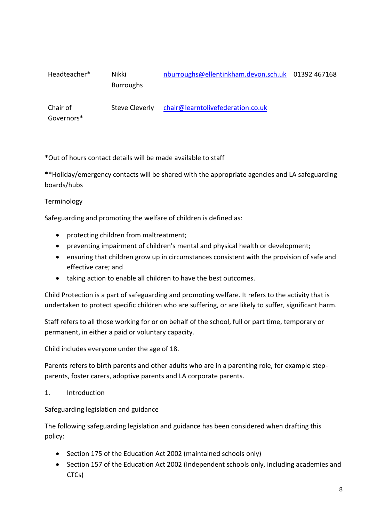| Headteacher* | Nikki<br><b>Burroughs</b> | nburroughs@ellentinkham.devon.sch.uk 01392 467168 |  |
|--------------|---------------------------|---------------------------------------------------|--|
| Chair of     | Steve Cleverly            | chair@learntolivefederation.co.uk                 |  |

\*Out of hours contact details will be made available to staff

\*\*Holiday/emergency contacts will be shared with the appropriate agencies and LA safeguarding boards/hubs

#### Terminology

Governors\*

Safeguarding and promoting the welfare of children is defined as:

- protecting children from maltreatment;
- preventing impairment of children's mental and physical health or development;
- ensuring that children grow up in circumstances consistent with the provision of safe and effective care; and
- taking action to enable all children to have the best outcomes.

Child Protection is a part of safeguarding and promoting welfare. It refers to the activity that is undertaken to protect specific children who are suffering, or are likely to suffer, significant harm.

Staff refers to all those working for or on behalf of the school, full or part time, temporary or permanent, in either a paid or voluntary capacity.

Child includes everyone under the age of 18.

Parents refers to birth parents and other adults who are in a parenting role, for example stepparents, foster carers, adoptive parents and LA corporate parents.

1. Introduction

#### Safeguarding legislation and guidance

The following safeguarding legislation and guidance has been considered when drafting this policy:

- Section 175 of the Education Act 2002 (maintained schools only)
- Section 157 of the Education Act 2002 (Independent schools only, including academies and CTCs)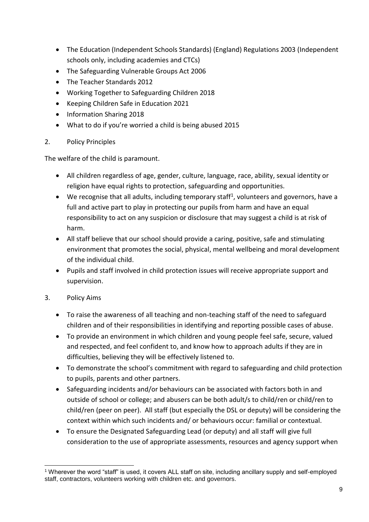- The Education (Independent Schools Standards) (England) Regulations 2003 (Independent schools only, including academies and CTCs)
- The Safeguarding Vulnerable Groups Act 2006
- The Teacher Standards 2012
- Working Together to Safeguarding Children 2018
- Keeping Children Safe in Education 2021
- Information Sharing 2018
- What to do if you're worried a child is being abused 2015

#### 2. Policy Principles

The welfare of the child is paramount.

- All children regardless of age, gender, culture, language, race, ability, sexual identity or religion have equal rights to protection, safeguarding and opportunities.
- We recognise that all adults, including temporary staff<sup>1</sup>, volunteers and governors, have a full and active part to play in protecting our pupils from harm and have an equal responsibility to act on any suspicion or disclosure that may suggest a child is at risk of harm.
- All staff believe that our school should provide a caring, positive, safe and stimulating environment that promotes the social, physical, mental wellbeing and moral development of the individual child.
- Pupils and staff involved in child protection issues will receive appropriate support and supervision.

### 3. Policy Aims

- To raise the awareness of all teaching and non-teaching staff of the need to safeguard children and of their responsibilities in identifying and reporting possible cases of abuse.
- To provide an environment in which children and young people feel safe, secure, valued and respected, and feel confident to, and know how to approach adults if they are in difficulties, believing they will be effectively listened to.
- To demonstrate the school's commitment with regard to safeguarding and child protection to pupils, parents and other partners.
- Safeguarding incidents and/or behaviours can be associated with factors both in and outside of school or college; and abusers can be both adult/s to child/ren or child/ren to child/ren (peer on peer). All staff (but especially the DSL or deputy) will be considering the context within which such incidents and/ or behaviours occur: familial or contextual.
- To ensure the Designated Safeguarding Lead (or deputy) and all staff will give full consideration to the use of appropriate assessments, resources and agency support when

<sup>-</sup><sup>1</sup> Wherever the word "staff" is used, it covers ALL staff on site, including ancillary supply and self-employed staff, contractors, volunteers working with children etc. and governors.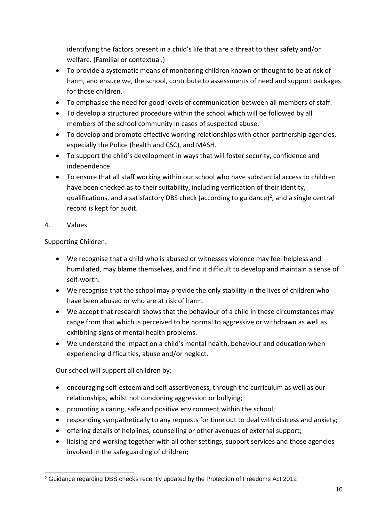identifying the factors present in a child's life that are a threat to their safety and/or welfare. (Familial or contextual.)

- To provide a systematic means of monitoring children known or thought to be at risk of harm, and ensure we, the school, contribute to assessments of need and support packages for those children.
- To emphasise the need for good levels of communication between all members of staff.
- To develop a structured procedure within the school which will be followed by all members of the school community in cases of suspected abuse.
- To develop and promote effective working relationships with other partnership agencies, especially the Police (health and CSC), and MASH.
- To support the child's development in ways that will foster security, confidence and independence.
- To ensure that all staff working within our school who have substantial access to children have been checked as to their suitability, including verification of their identity, qualifications, and a satisfactory DBS check (according to guidance)<sup>2</sup>, and a single central record is kept for audit.
- 4. Values

Supporting Children.

- We recognise that a child who is abused or witnesses violence may feel helpless and humiliated, may blame themselves, and find it difficult to develop and maintain a sense of self-worth.
- We recognise that the school may provide the only stability in the lives of children who have been abused or who are at risk of harm.
- We accept that research shows that the behaviour of a child in these circumstances may range from that which is perceived to be normal to aggressive or withdrawn as well as exhibiting signs of mental health problems.
- We understand the impact on a child's mental health, behaviour and education when experiencing difficulties, abuse and/or neglect.

Our school will support all children by:

- encouraging self-esteem and self-assertiveness, through the curriculum as well as our relationships, whilst not condoning aggression or bullying;
- promoting a caring, safe and positive environment within the school;
- responding sympathetically to any requests for time out to deal with distress and anxiety;
- offering details of helplines, counselling or other avenues of external support;
- liaising and working together with all other settings, support services and those agencies involved in the safeguarding of children;

<sup>-</sup><sup>2</sup> Guidance regarding DBS checks recently updated by the Protection of Freedoms Act 2012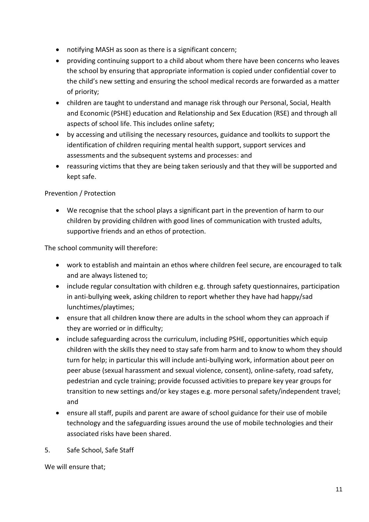- notifying MASH as soon as there is a significant concern;
- providing continuing support to a child about whom there have been concerns who leaves the school by ensuring that appropriate information is copied under confidential cover to the child's new setting and ensuring the school medical records are forwarded as a matter of priority;
- children are taught to understand and manage risk through our Personal, Social, Health and Economic (PSHE) education and Relationship and Sex Education (RSE) and through all aspects of school life. This includes online safety;
- by accessing and utilising the necessary resources, guidance and toolkits to support the identification of children requiring mental health support, support services and assessments and the subsequent systems and processes: and
- reassuring victims that they are being taken seriously and that they will be supported and kept safe.

### Prevention / Protection

• We recognise that the school plays a significant part in the prevention of harm to our children by providing children with good lines of communication with trusted adults, supportive friends and an ethos of protection.

The school community will therefore:

- work to establish and maintain an ethos where children feel secure, are encouraged to talk and are always listened to;
- include regular consultation with children e.g. through safety questionnaires, participation in anti-bullying week, asking children to report whether they have had happy/sad lunchtimes/playtimes;
- ensure that all children know there are adults in the school whom they can approach if they are worried or in difficulty;
- include safeguarding across the curriculum, including PSHE, opportunities which equip children with the skills they need to stay safe from harm and to know to whom they should turn for help; in particular this will include anti-bullying work, information about peer on peer abuse (sexual harassment and sexual violence, consent), online-safety, road safety, pedestrian and cycle training; provide focussed activities to prepare key year groups for transition to new settings and/or key stages e.g. more personal safety/independent travel; and
- ensure all staff, pupils and parent are aware of school guidance for their use of mobile technology and the safeguarding issues around the use of mobile technologies and their associated risks have been shared.
- 5. Safe School, Safe Staff

We will ensure that;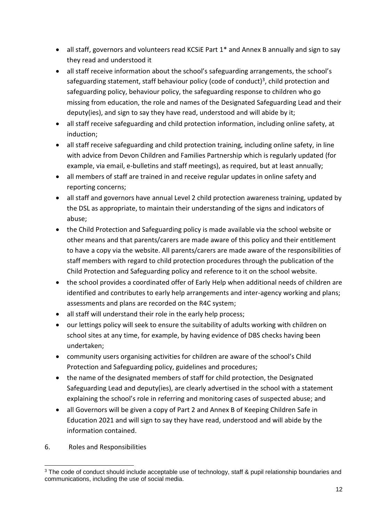- all staff, governors and volunteers read KCSiE Part 1<sup>\*</sup> and Annex B annually and sign to say they read and understood it
- all staff receive information about the school's safeguarding arrangements, the school's safeguarding statement, staff behaviour policy (code of conduct)<sup>3</sup>, child protection and safeguarding policy, behaviour policy, the safeguarding response to children who go missing from education, the role and names of the Designated Safeguarding Lead and their deputy(ies), and sign to say they have read, understood and will abide by it;
- all staff receive safeguarding and child protection information, including online safety, at induction;
- all staff receive safeguarding and child protection training, including online safety, in line with advice from Devon Children and Families Partnership which is regularly updated (for example, via email, e-bulletins and staff meetings), as required, but at least annually;
- all members of staff are trained in and receive regular updates in online safety and reporting concerns;
- all staff and governors have annual Level 2 child protection awareness training, updated by the DSL as appropriate, to maintain their understanding of the signs and indicators of abuse;
- the Child Protection and Safeguarding policy is made available via the school website or other means and that parents/carers are made aware of this policy and their entitlement to have a copy via the website. All parents/carers are made aware of the responsibilities of staff members with regard to child protection procedures through the publication of the Child Protection and Safeguarding policy and reference to it on the school website.
- the school provides a coordinated offer of Early Help when additional needs of children are identified and contributes to early help arrangements and inter-agency working and plans; assessments and plans are recorded on the R4C system;
- all staff will understand their role in the early help process;
- our lettings policy will seek to ensure the suitability of adults working with children on school sites at any time, for example, by having evidence of DBS checks having been undertaken;
- community users organising activities for children are aware of the school's Child Protection and Safeguarding policy, guidelines and procedures;
- the name of the designated members of staff for child protection, the Designated Safeguarding Lead and deputy(ies), are clearly advertised in the school with a statement explaining the school's role in referring and monitoring cases of suspected abuse; and
- all Governors will be given a copy of Part 2 and Annex B of Keeping Children Safe in Education 2021 and will sign to say they have read, understood and will abide by the information contained.
- 6. Roles and Responsibilities

<sup>-</sup><sup>3</sup> The code of conduct should include acceptable use of technology, staff & pupil relationship boundaries and communications, including the use of social media.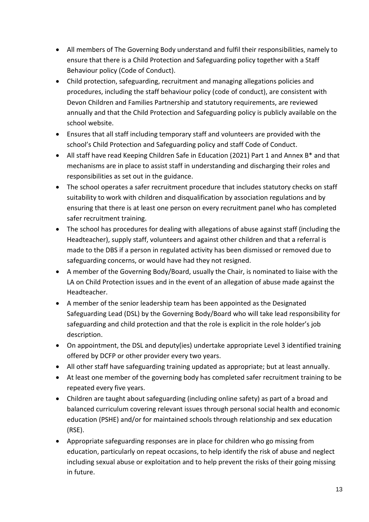- All members of The Governing Body understand and fulfil their responsibilities, namely to ensure that there is a Child Protection and Safeguarding policy together with a Staff Behaviour policy (Code of Conduct).
- Child protection, safeguarding, recruitment and managing allegations policies and procedures, including the staff behaviour policy (code of conduct), are consistent with Devon Children and Families Partnership and statutory requirements, are reviewed annually and that the Child Protection and Safeguarding policy is publicly available on the school website.
- Ensures that all staff including temporary staff and volunteers are provided with the school's Child Protection and Safeguarding policy and staff Code of Conduct.
- All staff have read Keeping Children Safe in Education (2021) Part 1 and Annex B\* and that mechanisms are in place to assist staff in understanding and discharging their roles and responsibilities as set out in the guidance.
- The school operates a safer recruitment procedure that includes statutory checks on staff suitability to work with children and disqualification by association regulations and by ensuring that there is at least one person on every recruitment panel who has completed safer recruitment training.
- The school has procedures for dealing with allegations of abuse against staff (including the Headteacher), supply staff, volunteers and against other children and that a referral is made to the DBS if a person in regulated activity has been dismissed or removed due to safeguarding concerns, or would have had they not resigned.
- A member of the Governing Body/Board, usually the Chair, is nominated to liaise with the LA on Child Protection issues and in the event of an allegation of abuse made against the Headteacher.
- A member of the senior leadership team has been appointed as the Designated Safeguarding Lead (DSL) by the Governing Body/Board who will take lead responsibility for safeguarding and child protection and that the role is explicit in the role holder's job description.
- On appointment, the DSL and deputy(ies) undertake appropriate Level 3 identified training offered by DCFP or other provider every two years.
- All other staff have safeguarding training updated as appropriate; but at least annually.
- At least one member of the governing body has completed safer recruitment training to be repeated every five years.
- Children are taught about safeguarding (including online safety) as part of a broad and balanced curriculum covering relevant issues through personal social health and economic education (PSHE) and/or for maintained schools through relationship and sex education (RSE).
- Appropriate safeguarding responses are in place for children who go missing from education, particularly on repeat occasions, to help identify the risk of abuse and neglect including sexual abuse or exploitation and to help prevent the risks of their going missing in future.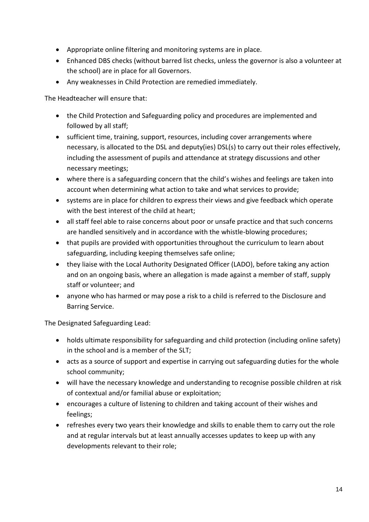- Appropriate online filtering and monitoring systems are in place.
- Enhanced DBS checks (without barred list checks, unless the governor is also a volunteer at the school) are in place for all Governors.
- Any weaknesses in Child Protection are remedied immediately.

The Headteacher will ensure that:

- the Child Protection and Safeguarding policy and procedures are implemented and followed by all staff;
- sufficient time, training, support, resources, including cover arrangements where necessary, is allocated to the DSL and deputy(ies) DSL(s) to carry out their roles effectively, including the assessment of pupils and attendance at strategy discussions and other necessary meetings;
- where there is a safeguarding concern that the child's wishes and feelings are taken into account when determining what action to take and what services to provide;
- systems are in place for children to express their views and give feedback which operate with the best interest of the child at heart;
- all staff feel able to raise concerns about poor or unsafe practice and that such concerns are handled sensitively and in accordance with the whistle-blowing procedures;
- that pupils are provided with opportunities throughout the curriculum to learn about safeguarding, including keeping themselves safe online;
- they liaise with the Local Authority Designated Officer (LADO), before taking any action and on an ongoing basis, where an allegation is made against a member of staff, supply staff or volunteer; and
- anyone who has harmed or may pose a risk to a child is referred to the Disclosure and Barring Service.

The Designated Safeguarding Lead:

- holds ultimate responsibility for safeguarding and child protection (including online safety) in the school and is a member of the SLT;
- acts as a source of support and expertise in carrying out safeguarding duties for the whole school community;
- will have the necessary knowledge and understanding to recognise possible children at risk of contextual and/or familial abuse or exploitation;
- encourages a culture of listening to children and taking account of their wishes and feelings;
- refreshes every two years their knowledge and skills to enable them to carry out the role and at regular intervals but at least annually accesses updates to keep up with any developments relevant to their role;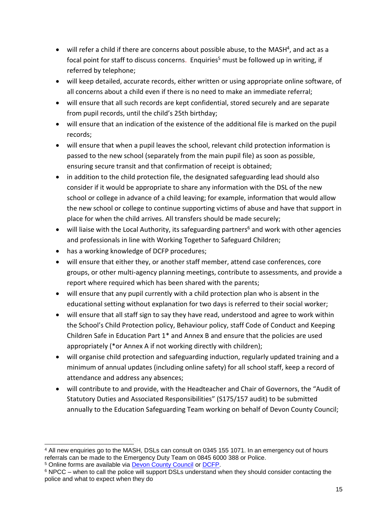- will refer a child if there are concerns about possible abuse, to the MASH<sup>4</sup>, and act as a focal point for staff to discuss concerns. Enquiries<sup>5</sup> must be followed up in writing, if referred by telephone;
- will keep detailed, accurate records, either written or using appropriate online software, of all concerns about a child even if there is no need to make an immediate referral;
- will ensure that all such records are kept confidential, stored securely and are separate from pupil records, until the child's 25th birthday;
- will ensure that an indication of the existence of the additional file is marked on the pupil records;
- will ensure that when a pupil leaves the school, relevant child protection information is passed to the new school (separately from the main pupil file) as soon as possible, ensuring secure transit and that confirmation of receipt is obtained;
- in addition to the child protection file, the designated safeguarding lead should also consider if it would be appropriate to share any information with the DSL of the new school or college in advance of a child leaving; for example, information that would allow the new school or college to continue supporting victims of abuse and have that support in place for when the child arrives. All transfers should be made securely;
- will liaise with the Local Authority, its safeguarding partners<sup>6</sup> and work with other agencies and professionals in line with Working Together to Safeguard Children;
- has a working knowledge of DCFP procedures;

-

- will ensure that either they, or another staff member, attend case conferences, core groups, or other multi-agency planning meetings, contribute to assessments, and provide a report where required which has been shared with the parents;
- will ensure that any pupil currently with a child protection plan who is absent in the educational setting without explanation for two days is referred to their social worker;
- will ensure that all staff sign to say they have read, understood and agree to work within the School's Child Protection policy, Behaviour policy, staff Code of Conduct and Keeping Children Safe in Education Part 1\* and Annex B and ensure that the policies are used appropriately (\*or Annex A if not working directly with children);
- will organise child protection and safeguarding induction, regularly updated training and a minimum of annual updates (including online safety) for all school staff, keep a record of attendance and address any absences;
- will contribute to and provide, with the Headteacher and Chair of Governors, the "Audit of Statutory Duties and Associated Responsibilities" (S175/157 audit) to be submitted annually to the Education Safeguarding Team working on behalf of Devon County Council;

<sup>4</sup> All new enquiries go to the MASH, DSLs can consult on 0345 155 1071. In an emergency out of hours referrals can be made to the Emergency Duty Team on 0845 6000 388 or Police. <sup>5</sup> Online forms are available via [Devon County Council](https://new.devon.gov.uk/educationandfamilies/child-protection/making-a-mash-enquiry) or [DCFP.](https://www.devonchildrenandfamiliespartnership.org.uk/)

<sup>6</sup> NPCC – when to call the police will support DSLs understand when they should consider contacting the police and what to expect when they do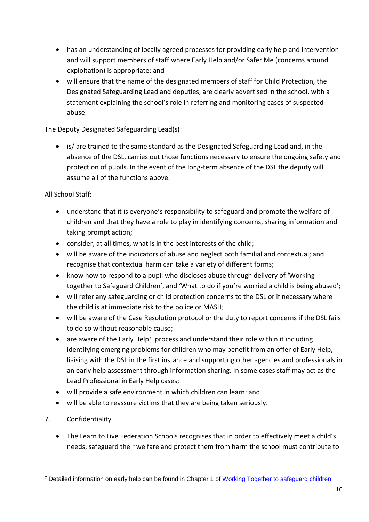- has an understanding of locally agreed processes for providing early help and intervention and will support members of staff where Early Help and/or Safer Me (concerns around exploitation) is appropriate; and
- will ensure that the name of the designated members of staff for Child Protection, the Designated Safeguarding Lead and deputies, are clearly advertised in the school, with a statement explaining the school's role in referring and monitoring cases of suspected abuse.

The Deputy Designated Safeguarding Lead(s):

• is/ are trained to the same standard as the Designated Safeguarding Lead and, in the absence of the DSL, carries out those functions necessary to ensure the ongoing safety and protection of pupils. In the event of the long-term absence of the DSL the deputy will assume all of the functions above.

All School Staff:

- understand that it is everyone's responsibility to safeguard and promote the welfare of children and that they have a role to play in identifying concerns, sharing information and taking prompt action;
- consider, at all times, what is in the best interests of the child;
- will be aware of the indicators of abuse and neglect both familial and contextual; and recognise that contextual harm can take a variety of different forms;
- know how to respond to a pupil who discloses abuse through delivery of 'Working together to Safeguard Children', and 'What to do if you're worried a child is being abused';
- will refer any safeguarding or child protection concerns to the DSL or if necessary where the child is at immediate risk to the police or MASH;
- will be aware of the Case Resolution protocol or the duty to report concerns if the DSL fails to do so without reasonable cause;
- $\bullet$  are aware of the Early Help<sup>7</sup> process and understand their role within it including identifying emerging problems for children who may benefit from an offer of Early Help, liaising with the DSL in the first instance and supporting other agencies and professionals in an early help assessment through information sharing. In some cases staff may act as the Lead Professional in Early Help cases;
- will provide a safe environment in which children can learn; and
- will be able to reassure victims that they are being taken seriously.
- 7. Confidentiality
	- The Learn to Live Federation Schools recognises that in order to effectively meet a child's needs, safeguard their welfare and protect them from harm the school must contribute to

<sup>1</sup> <sup>7</sup> Detailed information on early help can be found in Chapter 1 of [Working Together to safeguard children](https://www.gov.uk/government/uploads/system/uploads/attachment_data/file/592101/Working_Together_to_Safeguard_Children_20170213.pdf)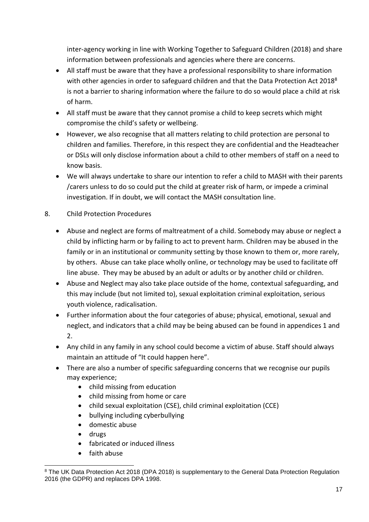inter-agency working in line with Working Together to Safeguard Children (2018) and share information between professionals and agencies where there are concerns.

- All staff must be aware that they have a professional responsibility to share information with other agencies in order to safeguard children and that the Data Protection Act 2018<sup>8</sup> is not a barrier to sharing information where the failure to do so would place a child at risk of harm.
- All staff must be aware that they cannot promise a child to keep secrets which might compromise the child's safety or wellbeing.
- However, we also recognise that all matters relating to child protection are personal to children and families. Therefore, in this respect they are confidential and the Headteacher or DSLs will only disclose information about a child to other members of staff on a need to know basis.
- We will always undertake to share our intention to refer a child to MASH with their parents /carers unless to do so could put the child at greater risk of harm, or impede a criminal investigation. If in doubt, we will contact the MASH consultation line.
- 8. Child Protection Procedures
	- Abuse and neglect are forms of maltreatment of a child. Somebody may abuse or neglect a child by inflicting harm or by failing to act to prevent harm. Children may be abused in the family or in an institutional or community setting by those known to them or, more rarely, by others. Abuse can take place wholly online, or technology may be used to facilitate off line abuse. They may be abused by an adult or adults or by another child or children.
	- Abuse and Neglect may also take place outside of the home, contextual safeguarding, and this may include (but not limited to), sexual exploitation criminal exploitation, serious youth violence, radicalisation.
	- Further information about the four categories of abuse; physical, emotional, sexual and neglect, and indicators that a child may be being abused can be found in appendices 1 and 2.
	- Any child in any family in any school could become a victim of abuse. Staff should always maintain an attitude of "It could happen here".
	- There are also a number of specific safeguarding concerns that we recognise our pupils may experience;
		- child missing from education
		- child missing from home or care
		- child sexual exploitation (CSE), child criminal exploitation (CCE)
		- bullying including cyberbullying
		- domestic abuse
		- drugs

1

- fabricated or induced illness
- faith abuse

<sup>&</sup>lt;sup>8</sup> The UK Data Protection Act 2018 (DPA 2018) is supplementary to the General Data Protection Regulation 2016 (the GDPR) and replaces DPA 1998.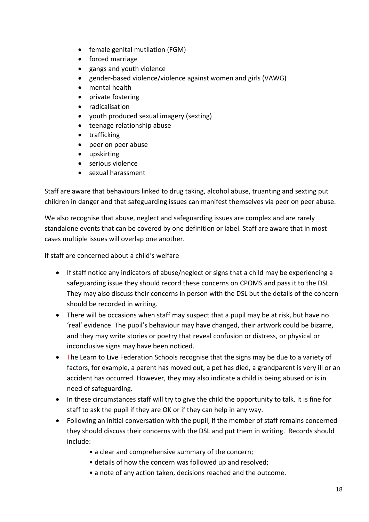- female genital mutilation (FGM)
- forced marriage
- gangs and youth violence
- gender-based violence/violence against women and girls (VAWG)
- mental health
- private fostering
- radicalisation
- youth produced sexual imagery (sexting)
- teenage relationship abuse
- trafficking
- peer on peer abuse
- upskirting
- serious violence
- sexual harassment

Staff are aware that behaviours linked to drug taking, alcohol abuse, truanting and sexting put children in danger and that safeguarding issues can manifest themselves via peer on peer abuse.

We also recognise that abuse, neglect and safeguarding issues are complex and are rarely standalone events that can be covered by one definition or label. Staff are aware that in most cases multiple issues will overlap one another.

If staff are concerned about a child's welfare

- If staff notice any indicators of abuse/neglect or signs that a child may be experiencing a safeguarding issue they should record these concerns on CPOMS and pass it to the DSL They may also discuss their concerns in person with the DSL but the details of the concern should be recorded in writing.
- There will be occasions when staff may suspect that a pupil may be at risk, but have no 'real' evidence. The pupil's behaviour may have changed, their artwork could be bizarre, and they may write stories or poetry that reveal confusion or distress, or physical or inconclusive signs may have been noticed.
- The Learn to Live Federation Schools recognise that the signs may be due to a variety of factors, for example, a parent has moved out, a pet has died, a grandparent is very ill or an accident has occurred. However, they may also indicate a child is being abused or is in need of safeguarding.
- In these circumstances staff will try to give the child the opportunity to talk. It is fine for staff to ask the pupil if they are OK or if they can help in any way.
- Following an initial conversation with the pupil, if the member of staff remains concerned they should discuss their concerns with the DSL and put them in writing. Records should include:
	- a clear and comprehensive summary of the concern;
	- details of how the concern was followed up and resolved;
	- a note of any action taken, decisions reached and the outcome.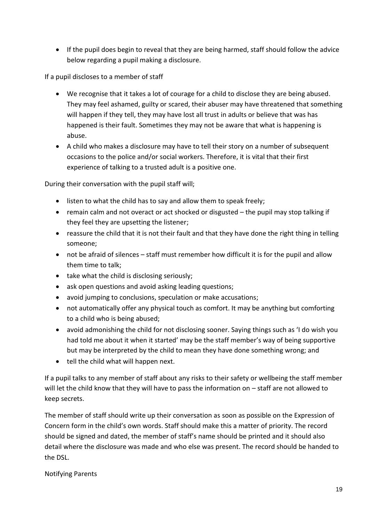• If the pupil does begin to reveal that they are being harmed, staff should follow the advice below regarding a pupil making a disclosure.

If a pupil discloses to a member of staff

- We recognise that it takes a lot of courage for a child to disclose they are being abused. They may feel ashamed, guilty or scared, their abuser may have threatened that something will happen if they tell, they may have lost all trust in adults or believe that was has happened is their fault. Sometimes they may not be aware that what is happening is abuse.
- A child who makes a disclosure may have to tell their story on a number of subsequent occasions to the police and/or social workers. Therefore, it is vital that their first experience of talking to a trusted adult is a positive one.

During their conversation with the pupil staff will;

- listen to what the child has to say and allow them to speak freely;
- remain calm and not overact or act shocked or disgusted the pupil may stop talking if they feel they are upsetting the listener;
- reassure the child that it is not their fault and that they have done the right thing in telling someone;
- not be afraid of silences staff must remember how difficult it is for the pupil and allow them time to talk;
- take what the child is disclosing seriously;
- ask open questions and avoid asking leading questions;
- avoid jumping to conclusions, speculation or make accusations;
- not automatically offer any physical touch as comfort. It may be anything but comforting to a child who is being abused;
- avoid admonishing the child for not disclosing sooner. Saying things such as 'I do wish you had told me about it when it started' may be the staff member's way of being supportive but may be interpreted by the child to mean they have done something wrong; and
- tell the child what will happen next.

If a pupil talks to any member of staff about any risks to their safety or wellbeing the staff member will let the child know that they will have to pass the information on – staff are not allowed to keep secrets.

The member of staff should write up their conversation as soon as possible on the Expression of Concern form in the child's own words. Staff should make this a matter of priority. The record should be signed and dated, the member of staff's name should be printed and it should also detail where the disclosure was made and who else was present. The record should be handed to the DSL.

#### Notifying Parents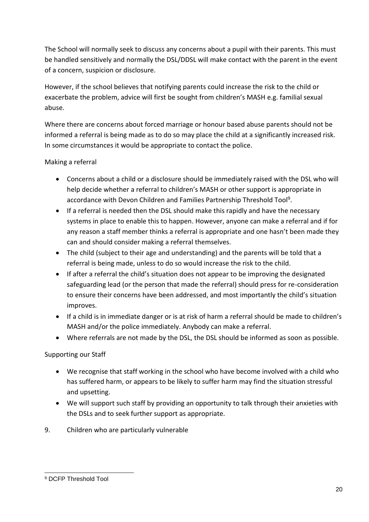The School will normally seek to discuss any concerns about a pupil with their parents. This must be handled sensitively and normally the DSL/DDSL will make contact with the parent in the event of a concern, suspicion or disclosure.

However, if the school believes that notifying parents could increase the risk to the child or exacerbate the problem, advice will first be sought from children's MASH e.g. familial sexual abuse.

Where there are concerns about forced marriage or honour based abuse parents should not be informed a referral is being made as to do so may place the child at a significantly increased risk. In some circumstances it would be appropriate to contact the police.

### Making a referral

- Concerns about a child or a disclosure should be immediately raised with the DSL who will help decide whether a referral to children's MASH or other support is appropriate in accordance with Devon Children and Families Partnership Threshold Tool<sup>9</sup>.
- If a referral is needed then the DSL should make this rapidly and have the necessary systems in place to enable this to happen. However, anyone can make a referral and if for any reason a staff member thinks a referral is appropriate and one hasn't been made they can and should consider making a referral themselves.
- The child (subject to their age and understanding) and the parents will be told that a referral is being made, unless to do so would increase the risk to the child.
- If after a referral the child's situation does not appear to be improving the designated safeguarding lead (or the person that made the referral) should press for re-consideration to ensure their concerns have been addressed, and most importantly the child's situation improves.
- If a child is in immediate danger or is at risk of harm a referral should be made to children's MASH and/or the police immediately. Anybody can make a referral.
- Where referrals are not made by the DSL, the DSL should be informed as soon as possible.

### Supporting our Staff

- We recognise that staff working in the school who have become involved with a child who has suffered harm, or appears to be likely to suffer harm may find the situation stressful and upsetting.
- We will support such staff by providing an opportunity to talk through their anxieties with the DSLs and to seek further support as appropriate.
- 9. Children who are particularly vulnerable

<sup>1</sup> <sup>9</sup> DCFP Threshold Tool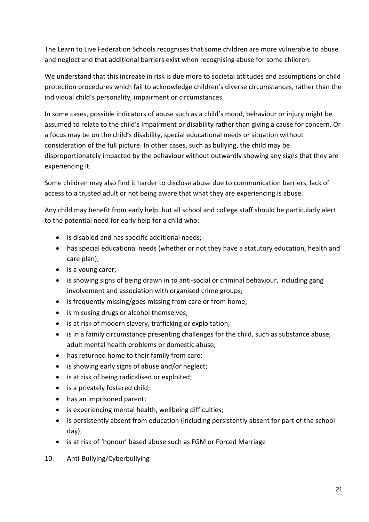The Learn to Live Federation Schools recognises that some children are more vulnerable to abuse and neglect and that additional barriers exist when recognising abuse for some children.

We understand that this increase in risk is due more to societal attitudes and assumptions or child protection procedures which fail to acknowledge children's diverse circumstances, rather than the individual child's personality, impairment or circumstances.

In some cases, possible indicators of abuse such as a child's mood, behaviour or injury might be assumed to relate to the child's impairment or disability rather than giving a cause for concern. Or a focus may be on the child's disability, special educational needs or situation without consideration of the full picture. In other cases, such as bullying, the child may be disproportionately impacted by the behaviour without outwardly showing any signs that they are experiencing it.

Some children may also find it harder to disclose abuse due to communication barriers, lack of access to a trusted adult or not being aware that what they are experiencing is abuse.

Any child may benefit from early help, but all school and college staff should be particularly alert to the potential need for early help for a child who:

- is disabled and has specific additional needs;
- has special educational needs (whether or not they have a statutory education, health and care plan);
- is a young carer;
- is showing signs of being drawn in to anti-social or criminal behaviour, including gang involvement and association with organised crime groups;
- is frequently missing/goes missing from care or from home;
- is misusing drugs or alcohol themselves;
- is at risk of modern slavery, trafficking or exploitation;
- is in a family circumstance presenting challenges for the child, such as substance abuse, adult mental health problems or domestic abuse;
- has returned home to their family from care;
- is showing early signs of abuse and/or neglect;
- is at risk of being radicalised or exploited;
- is a privately fostered child;
- has an imprisoned parent;
- is experiencing mental health, wellbeing difficulties;
- is persistently absent from education (including persistently absent for part of the school day);
- is at risk of 'honour' based abuse such as FGM or Forced Marriage
- 10. Anti-Bullying/Cyberbullying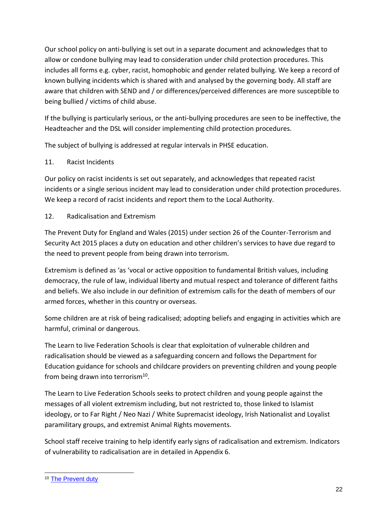Our school policy on anti-bullying is set out in a separate document and acknowledges that to allow or condone bullying may lead to consideration under child protection procedures. This includes all forms e.g. cyber, racist, homophobic and gender related bullying. We keep a record of known bullying incidents which is shared with and analysed by the governing body. All staff are aware that children with SEND and / or differences/perceived differences are more susceptible to being bullied / victims of child abuse.

If the bullying is particularly serious, or the anti-bullying procedures are seen to be ineffective, the Headteacher and the DSL will consider implementing child protection procedures.

The subject of bullying is addressed at regular intervals in PHSE education.

### 11. Racist Incidents

Our policy on racist incidents is set out separately, and acknowledges that repeated racist incidents or a single serious incident may lead to consideration under child protection procedures. We keep a record of racist incidents and report them to the Local Authority.

## 12. Radicalisation and Extremism

The Prevent Duty for England and Wales (2015) under section 26 of the Counter-Terrorism and Security Act 2015 places a duty on education and other children's services to have due regard to the need to prevent people from being drawn into terrorism.

Extremism is defined as 'as 'vocal or active opposition to fundamental British values, including democracy, the rule of law, individual liberty and mutual respect and tolerance of different faiths and beliefs. We also include in our definition of extremism calls for the death of members of our armed forces, whether in this country or overseas.

Some children are at risk of being radicalised; adopting beliefs and engaging in activities which are harmful, criminal or dangerous.

The Learn to live Federation Schools is clear that exploitation of vulnerable children and radicalisation should be viewed as a safeguarding concern and follows the Department for Education guidance for schools and childcare providers on preventing children and young people from being drawn into terrorism<sup>10</sup>.

The Learn to Live Federation Schools seeks to protect children and young people against the messages of all violent extremism including, but not restricted to, those linked to Islamist ideology, or to Far Right / Neo Nazi / White Supremacist ideology, Irish Nationalist and Loyalist paramilitary groups, and extremist Animal Rights movements.

School staff receive training to help identify early signs of radicalisation and extremism. Indicators of vulnerability to radicalisation are in detailed in Appendix 6.

<sup>1</sup> <sup>10</sup> [The Prevent duty](https://www.gov.uk/government/uploads/system/uploads/attachment_data/file/439598/prevent-duty-departmental-advice-v6.pdf)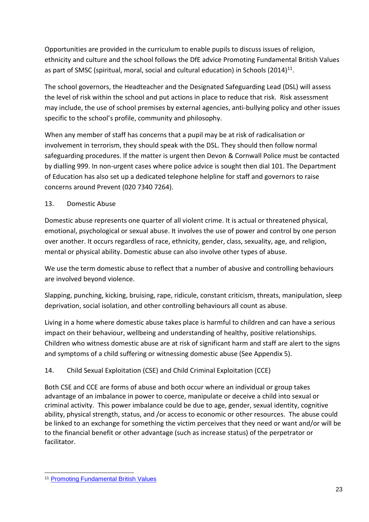Opportunities are provided in the curriculum to enable pupils to discuss issues of religion, ethnicity and culture and the school follows the DfE advice Promoting Fundamental British Values as part of SMSC (spiritual, moral, social and cultural education) in Schools (2014)<sup>11</sup>.

The school governors, the Headteacher and the Designated Safeguarding Lead (DSL) will assess the level of risk within the school and put actions in place to reduce that risk. Risk assessment may include, the use of school premises by external agencies, anti-bullying policy and other issues specific to the school's profile, community and philosophy.

When any member of staff has concerns that a pupil may be at risk of radicalisation or involvement in terrorism, they should speak with the DSL. They should then follow normal safeguarding procedures. If the matter is urgent then Devon & Cornwall Police must be contacted by dialling 999. In non-urgent cases where police advice is sought then dial 101. The Department of Education has also set up a dedicated telephone helpline for staff and governors to raise concerns around Prevent (020 7340 7264).

### 13. Domestic Abuse

Domestic abuse represents one quarter of all violent crime. It is actual or threatened physical, emotional, psychological or sexual abuse. It involves the use of power and control by one person over another. It occurs regardless of race, ethnicity, gender, class, sexuality, age, and religion, mental or physical ability. Domestic abuse can also involve other types of abuse.

We use the term domestic abuse to reflect that a number of abusive and controlling behaviours are involved beyond violence.

Slapping, punching, kicking, bruising, rape, ridicule, constant criticism, threats, manipulation, sleep deprivation, social isolation, and other controlling behaviours all count as abuse.

Living in a home where domestic abuse takes place is harmful to children and can have a serious impact on their behaviour, wellbeing and understanding of healthy, positive relationships. Children who witness domestic abuse are at risk of significant harm and staff are alert to the signs and symptoms of a child suffering or witnessing domestic abuse (See Appendix 5).

## 14. Child Sexual Exploitation (CSE) and Child Criminal Exploitation (CCE)

Both CSE and CCE are forms of abuse and both occur where an individual or group takes advantage of an imbalance in power to coerce, manipulate or deceive a child into sexual or criminal activity. This power imbalance could be due to age, gender, sexual identity, cognitive ability, physical strength, status, and /or access to economic or other resources. The abuse could be linked to an exchange for something the victim perceives that they need or want and/or will be to the financial benefit or other advantage (such as increase status) of the perpetrator or facilitator.

<sup>1</sup> <sup>11</sup> [Promoting Fundamental British Values](https://www.gov.uk/government/uploads/system/uploads/attachment_data/file/380595/SMSC_Guidance_Maintained_Schools.pdf)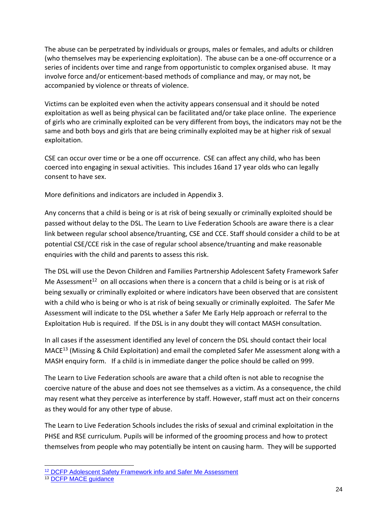The abuse can be perpetrated by individuals or groups, males or females, and adults or children (who themselves may be experiencing exploitation). The abuse can be a one-off occurrence or a series of incidents over time and range from opportunistic to complex organised abuse. It may involve force and/or enticement-based methods of compliance and may, or may not, be accompanied by violence or threats of violence.

Victims can be exploited even when the activity appears consensual and it should be noted exploitation as well as being physical can be facilitated and/or take place online. The experience of girls who are criminally exploited can be very different from boys, the indicators may not be the same and both boys and girls that are being criminally exploited may be at higher risk of sexual exploitation.

CSE can occur over time or be a one off occurrence. CSE can affect any child, who has been coerced into engaging in sexual activities. This includes 16and 17 year olds who can legally consent to have sex.

More definitions and indicators are included in Appendix 3.

Any concerns that a child is being or is at risk of being sexually or criminally exploited should be passed without delay to the DSL. The Learn to Live Federation Schools are aware there is a clear link between regular school absence/truanting, CSE and CCE. Staff should consider a child to be at potential CSE/CCE risk in the case of regular school absence/truanting and make reasonable enquiries with the child and parents to assess this risk.

The DSL will use the Devon Children and Families Partnership Adolescent Safety Framework Safer Me Assessment<sup>12</sup> on all occasions when there is a concern that a child is being or is at risk of being sexually or criminally exploited or where indicators have been observed that are consistent with a child who is being or who is at risk of being sexually or criminally exploited. The Safer Me Assessment will indicate to the DSL whether a Safer Me Early Help approach or referral to the Exploitation Hub is required. If the DSL is in any doubt they will contact MASH consultation.

In all cases if the assessment identified any level of concern the DSL should contact their local MACE<sup>13</sup> (Missing & Child Exploitation) and email the completed Safer Me assessment along with a MASH enquiry form. If a child is in immediate danger the police should be called on 999.

The Learn to Live Federation schools are aware that a child often is not able to recognise the coercive nature of the abuse and does not see themselves as a victim. As a consequence, the child may resent what they perceive as interference by staff. However, staff must act on their concerns as they would for any other type of abuse.

The Learn to Live Federation Schools includes the risks of sexual and criminal exploitation in the PHSE and RSE curriculum. Pupils will be informed of the grooming process and how to protect themselves from people who may potentially be intent on causing harm. They will be supported

1

<sup>12</sup> [DCFP Adolescent Safety Framework info and Safer Me Assessment](https://www.dcfp.org.uk/training-and-resources/policies-and-procedures/adolescent-safety-framework-safer-me/)

<sup>13</sup> [DCFP MACE guidance](https://www.dcfp.org.uk/child-abuse/child-sexual-exploitation/child-exploitation-information-for-professionals/)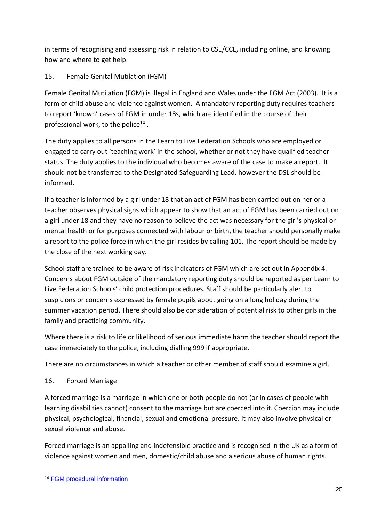in terms of recognising and assessing risk in relation to CSE/CCE, including online, and knowing how and where to get help.

## 15. Female Genital Mutilation (FGM)

Female Genital Mutilation (FGM) is illegal in England and Wales under the FGM Act (2003). It is a form of child abuse and violence against women. A mandatory reporting duty requires teachers to report 'known' cases of FGM in under 18s, which are identified in the course of their professional work, to the police<sup>14</sup>.

The duty applies to all persons in the Learn to Live Federation Schools who are employed or engaged to carry out 'teaching work' in the school, whether or not they have qualified teacher status. The duty applies to the individual who becomes aware of the case to make a report. It should not be transferred to the Designated Safeguarding Lead, however the DSL should be informed.

If a teacher is informed by a girl under 18 that an act of FGM has been carried out on her or a teacher observes physical signs which appear to show that an act of FGM has been carried out on a girl under 18 and they have no reason to believe the act was necessary for the girl's physical or mental health or for purposes connected with labour or birth, the teacher should personally make a report to the police force in which the girl resides by calling 101. The report should be made by the close of the next working day.

School staff are trained to be aware of risk indicators of FGM which are set out in Appendix 4. Concerns about FGM outside of the mandatory reporting duty should be reported as per Learn to Live Federation Schools' child protection procedures. Staff should be particularly alert to suspicions or concerns expressed by female pupils about going on a long holiday during the summer vacation period. There should also be consideration of potential risk to other girls in the family and practicing community.

Where there is a risk to life or likelihood of serious immediate harm the teacher should report the case immediately to the police, including dialling 999 if appropriate.

There are no circumstances in which a teacher or other member of staff should examine a girl.

### 16. Forced Marriage

A forced marriage is a marriage in which one or both people do not (or in cases of people with learning disabilities cannot) consent to the marriage but are coerced into it. Coercion may include physical, psychological, financial, sexual and emotional pressure. It may also involve physical or sexual violence and abuse.

Forced marriage is an appalling and indefensible practice and is recognised in the UK as a form of violence against women and men, domestic/child abuse and a serious abuse of human rights.

<sup>1</sup> <sup>14</sup> [FGM procedural information](https://www.gov.uk/government/uploads/system/uploads/attachment_data/file/573782/FGM_Mandatory_Reporting_-_procedural_information_nov16_FINAL.pdf)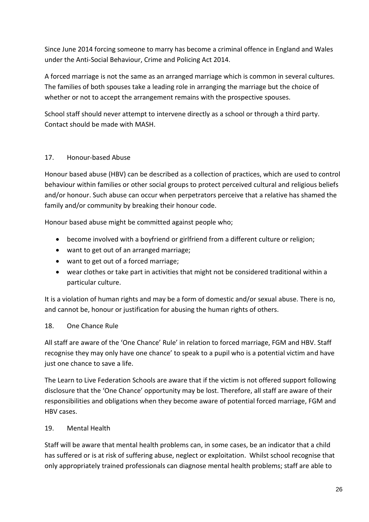Since June 2014 forcing someone to marry has become a criminal offence in England and Wales under the Anti-Social Behaviour, Crime and Policing Act 2014.

A forced marriage is not the same as an arranged marriage which is common in several cultures. The families of both spouses take a leading role in arranging the marriage but the choice of whether or not to accept the arrangement remains with the prospective spouses.

School staff should never attempt to intervene directly as a school or through a third party. Contact should be made with MASH.

### 17. Honour-based Abuse

Honour based abuse (HBV) can be described as a collection of practices, which are used to control behaviour within families or other social groups to protect perceived cultural and religious beliefs and/or honour. Such abuse can occur when perpetrators perceive that a relative has shamed the family and/or community by breaking their honour code.

Honour based abuse might be committed against people who;

- become involved with a boyfriend or girlfriend from a different culture or religion;
- want to get out of an arranged marriage;
- want to get out of a forced marriage;
- wear clothes or take part in activities that might not be considered traditional within a particular culture.

It is a violation of human rights and may be a form of domestic and/or sexual abuse. There is no, and cannot be, honour or justification for abusing the human rights of others.

### 18. One Chance Rule

All staff are aware of the 'One Chance' Rule' in relation to forced marriage, FGM and HBV. Staff recognise they may only have one chance' to speak to a pupil who is a potential victim and have just one chance to save a life.

The Learn to Live Federation Schools are aware that if the victim is not offered support following disclosure that the 'One Chance' opportunity may be lost. Therefore, all staff are aware of their responsibilities and obligations when they become aware of potential forced marriage, FGM and HBV cases.

#### 19. Mental Health

Staff will be aware that mental health problems can, in some cases, be an indicator that a child has suffered or is at risk of suffering abuse, neglect or exploitation. Whilst school recognise that only appropriately trained professionals can diagnose mental health problems; staff are able to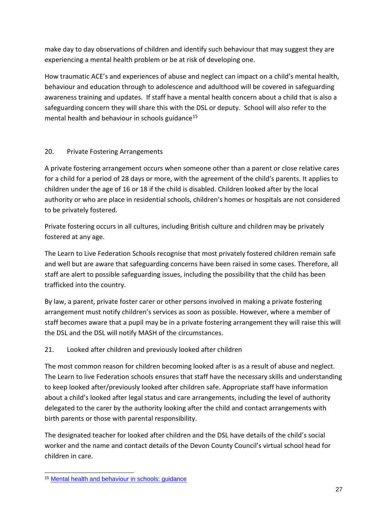make day to day observations of children and identify such behaviour that may suggest they are experiencing a mental health problem or be at risk of developing one.

How traumatic ACE's and experiences of abuse and neglect can impact on a child's mental health, behaviour and education through to adolescence and adulthood will be covered in safeguarding awareness training and updates. If staff have a mental health concern about a child that is also a safeguarding concern they will share this with the DSL or deputy. School will also refer to the mental health and behaviour in schools guidance<sup>15</sup>

### 20. Private Fostering Arrangements

A private fostering arrangement occurs when someone other than a parent or close relative cares for a child for a period of 28 days or more, with the agreement of the child's parents. It applies to children under the age of 16 or 18 if the child is disabled. Children looked after by the local authority or who are place in residential schools, children's homes or hospitals are not considered to be privately fostered.

Private fostering occurs in all cultures, including British culture and children may be privately fostered at any age.

The Learn to Live Federation Schools recognise that most privately fostered children remain safe and well but are aware that safeguarding concerns have been raised in some cases. Therefore, all staff are alert to possible safeguarding issues, including the possibility that the child has been trafficked into the country.

By law, a parent, private foster carer or other persons involved in making a private fostering arrangement must notify children's services as soon as possible. However, where a member of staff becomes aware that a pupil may be in a private fostering arrangement they will raise this will the DSL and the DSL will notify MASH of the circumstances.

### 21. Looked after children and previously looked after children

The most common reason for children becoming looked after is as a result of abuse and neglect. The Learn to live Federation schools ensures that staff have the necessary skills and understanding to keep looked after/previously looked after children safe. Appropriate staff have information about a child's looked after legal status and care arrangements, including the level of authority delegated to the carer by the authority looking after the child and contact arrangements with birth parents or those with parental responsibility.

The designated teacher for looked after children and the DSL have details of the child's social worker and the name and contact details of the Devon County Council's virtual school head for children in care.

<sup>1</sup> <sup>15</sup> [Mental health and behaviour in schools: guidance](https://www.gov.uk/government/publications/mental-health-and-behaviour-in-schools--2)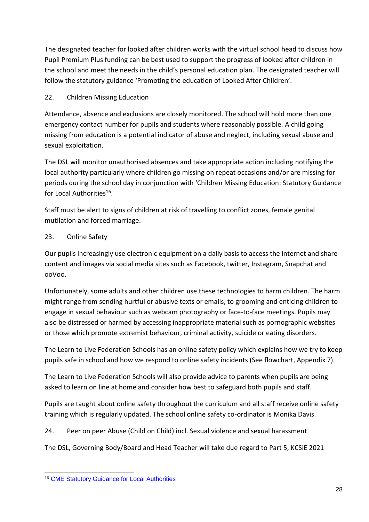The designated teacher for looked after children works with the virtual school head to discuss how Pupil Premium Plus funding can be best used to support the progress of looked after children in the school and meet the needs in the child's personal education plan. The designated teacher will follow the statutory guidance 'Promoting the education of Looked After Children'.

## 22. Children Missing Education

Attendance, absence and exclusions are closely monitored. The school will hold more than one emergency contact number for pupils and students where reasonably possible. A child going missing from education is a potential indicator of abuse and neglect, including sexual abuse and sexual exploitation.

The DSL will monitor unauthorised absences and take appropriate action including notifying the local authority particularly where children go missing on repeat occasions and/or are missing for periods during the school day in conjunction with 'Children Missing Education: Statutory Guidance for Local Authorities<sup>16</sup>.

Staff must be alert to signs of children at risk of travelling to conflict zones, female genital mutilation and forced marriage.

### 23. Online Safety

Our pupils increasingly use electronic equipment on a daily basis to access the internet and share content and images via social media sites such as Facebook, twitter, Instagram, Snapchat and ooVoo.

Unfortunately, some adults and other children use these technologies to harm children. The harm might range from sending hurtful or abusive texts or emails, to grooming and enticing children to engage in sexual behaviour such as webcam photography or face-to-face meetings. Pupils may also be distressed or harmed by accessing inappropriate material such as pornographic websites or those which promote extremist behaviour, criminal activity, suicide or eating disorders.

The Learn to Live Federation Schools has an online safety policy which explains how we try to keep pupils safe in school and how we respond to online safety incidents (See flowchart, Appendix 7).

The Learn to Live Federation Schools will also provide advice to parents when pupils are being asked to learn on line at home and consider how best to safeguard both pupils and staff.

Pupils are taught about online safety throughout the curriculum and all staff receive online safety training which is regularly updated. The school online safety co-ordinator is Monika Davis.

24. Peer on peer Abuse (Child on Child) incl. Sexual violence and sexual harassment

The DSL, Governing Body/Board and Head Teacher will take due regard to Part 5, KCSiE 2021

<sup>1</sup> <sup>16</sup> [CME Statutory Guidance for Local Authorities](https://www.gov.uk/government/uploads/system/uploads/attachment_data/file/550416/Children_Missing_Education_-_statutory_guidance.pdf)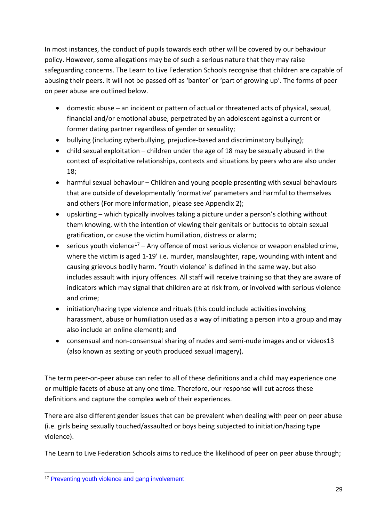In most instances, the conduct of pupils towards each other will be covered by our behaviour policy. However, some allegations may be of such a serious nature that they may raise safeguarding concerns. The Learn to Live Federation Schools recognise that children are capable of abusing their peers. It will not be passed off as 'banter' or 'part of growing up'. The forms of peer on peer abuse are outlined below.

- domestic abuse an incident or pattern of actual or threatened acts of physical, sexual, financial and/or emotional abuse, perpetrated by an adolescent against a current or former dating partner regardless of gender or sexuality;
- bullying (including cyberbullying, prejudice-based and discriminatory bullying);
- child sexual exploitation children under the age of 18 may be sexually abused in the context of exploitative relationships, contexts and situations by peers who are also under 18;
- harmful sexual behaviour Children and young people presenting with sexual behaviours that are outside of developmentally 'normative' parameters and harmful to themselves and others (For more information, please see Appendix 2);
- upskirting which typically involves taking a picture under a person's clothing without them knowing, with the intention of viewing their genitals or buttocks to obtain sexual gratification, or cause the victim humiliation, distress or alarm;
- serious youth violence<sup>17</sup> Any offence of most serious violence or weapon enabled crime, where the victim is aged 1-19' i.e. murder, manslaughter, rape, wounding with intent and causing grievous bodily harm. 'Youth violence' is defined in the same way, but also includes assault with injury offences. All staff will receive training so that they are aware of indicators which may signal that children are at risk from, or involved with serious violence and crime;
- initiation/hazing type violence and rituals (this could include activities involving harassment, abuse or humiliation used as a way of initiating a person into a group and may also include an online element); and
- consensual and non-consensual sharing of nudes and semi-nude images and or videos13 (also known as sexting or youth produced sexual imagery).

The term peer-on-peer abuse can refer to all of these definitions and a child may experience one or multiple facets of abuse at any one time. Therefore, our response will cut across these definitions and capture the complex web of their experiences.

There are also different gender issues that can be prevalent when dealing with peer on peer abuse (i.e. girls being sexually touched/assaulted or boys being subjected to initiation/hazing type violence).

The Learn to Live Federation Schools aims to reduce the likelihood of peer on peer abuse through;

<sup>1</sup> <sup>17</sup> [Preventing youth violence and gang involvement](https://assets.publishing.service.gov.uk/government/uploads/system/uploads/attachment_data/file/418131/Preventing_youth_violence_and_gang_involvement_v3_March2015.pdf)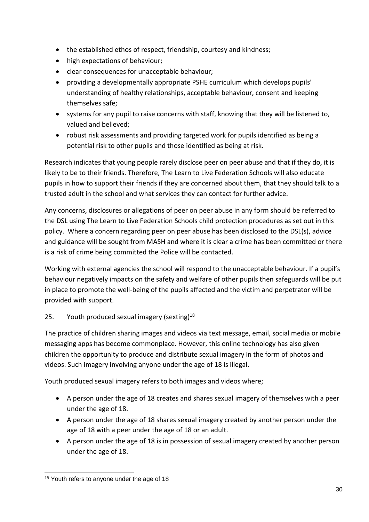- the established ethos of respect, friendship, courtesy and kindness;
- high expectations of behaviour;
- clear consequences for unacceptable behaviour;
- providing a developmentally appropriate PSHE curriculum which develops pupils' understanding of healthy relationships, acceptable behaviour, consent and keeping themselves safe;
- systems for any pupil to raise concerns with staff, knowing that they will be listened to, valued and believed;
- robust risk assessments and providing targeted work for pupils identified as being a potential risk to other pupils and those identified as being at risk.

Research indicates that young people rarely disclose peer on peer abuse and that if they do, it is likely to be to their friends. Therefore, The Learn to Live Federation Schools will also educate pupils in how to support their friends if they are concerned about them, that they should talk to a trusted adult in the school and what services they can contact for further advice.

Any concerns, disclosures or allegations of peer on peer abuse in any form should be referred to the DSL using The Learn to Live Federation Schools child protection procedures as set out in this policy. Where a concern regarding peer on peer abuse has been disclosed to the DSL(s), advice and guidance will be sought from MASH and where it is clear a crime has been committed or there is a risk of crime being committed the Police will be contacted.

Working with external agencies the school will respond to the unacceptable behaviour. If a pupil's behaviour negatively impacts on the safety and welfare of other pupils then safeguards will be put in place to promote the well-being of the pupils affected and the victim and perpetrator will be provided with support.

## 25. Youth produced sexual imagery (sexting) $18$

The practice of children sharing images and videos via text message, email, social media or mobile messaging apps has become commonplace. However, this online technology has also given children the opportunity to produce and distribute sexual imagery in the form of photos and videos. Such imagery involving anyone under the age of 18 is illegal.

Youth produced sexual imagery refers to both images and videos where;

- A person under the age of 18 creates and shares sexual imagery of themselves with a peer under the age of 18.
- A person under the age of 18 shares sexual imagery created by another person under the age of 18 with a peer under the age of 18 or an adult.
- A person under the age of 18 is in possession of sexual imagery created by another person under the age of 18.

<sup>1</sup> <sup>18</sup> Youth refers to anyone under the age of 18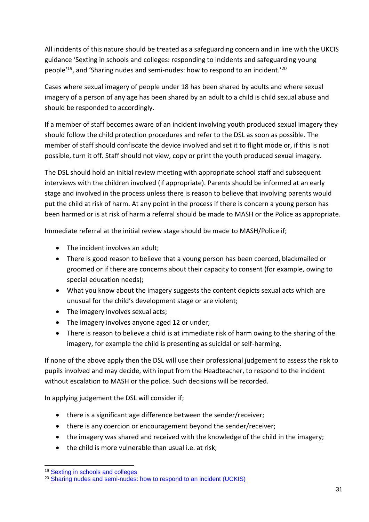All incidents of this nature should be treated as a safeguarding concern and in line with the UKCIS guidance 'Sexting in schools and colleges: responding to incidents and safeguarding young people'<sup>19</sup>, and 'Sharing nudes and semi-nudes: how to respond to an incident.'<sup>20</sup>

Cases where sexual imagery of people under 18 has been shared by adults and where sexual imagery of a person of any age has been shared by an adult to a child is child sexual abuse and should be responded to accordingly.

If a member of staff becomes aware of an incident involving youth produced sexual imagery they should follow the child protection procedures and refer to the DSL as soon as possible. The member of staff should confiscate the device involved and set it to flight mode or, if this is not possible, turn it off. Staff should not view, copy or print the youth produced sexual imagery.

The DSL should hold an initial review meeting with appropriate school staff and subsequent interviews with the children involved (if appropriate). Parents should be informed at an early stage and involved in the process unless there is reason to believe that involving parents would put the child at risk of harm. At any point in the process if there is concern a young person has been harmed or is at risk of harm a referral should be made to MASH or the Police as appropriate.

Immediate referral at the initial review stage should be made to MASH/Police if;

- The incident involves an adult;
- There is good reason to believe that a young person has been coerced, blackmailed or groomed or if there are concerns about their capacity to consent (for example, owing to special education needs);
- What you know about the imagery suggests the content depicts sexual acts which are unusual for the child's development stage or are violent;
- The imagery involves sexual acts;
- The imagery involves anyone aged 12 or under;
- There is reason to believe a child is at immediate risk of harm owing to the sharing of the imagery, for example the child is presenting as suicidal or self-harming.

If none of the above apply then the DSL will use their professional judgement to assess the risk to pupils involved and may decide, with input from the Headteacher, to respond to the incident without escalation to MASH or the police. Such decisions will be recorded.

In applying judgement the DSL will consider if;

- there is a significant age difference between the sender/receiver;
- there is any coercion or encouragement beyond the sender/receiver;
- the imagery was shared and received with the knowledge of the child in the imagery;
- the child is more vulnerable than usual i.e. at risk;

1

<sup>19</sup> [Sexting in schools and colleges](https://www.gov.uk/government/groups/uk-council-for-child-internet-safety-ukccis)

<sup>&</sup>lt;sup>20</sup> [Sharing nudes and semi-nudes: how to respond to an incident \(UCKIS\)](https://www.gov.uk/government/publications/sharing-nudes-and-semi-nudes-advice-for-education-settings-working-with-children-and-young-people/sharing-nudes-and-semi-nudes-how-to-respond-to-an-incident-overview)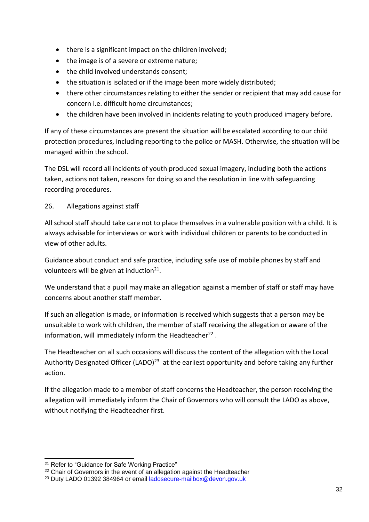- there is a significant impact on the children involved;
- the image is of a severe or extreme nature;
- the child involved understands consent;
- the situation is isolated or if the image been more widely distributed;
- there other circumstances relating to either the sender or recipient that may add cause for concern i.e. difficult home circumstances;
- the children have been involved in incidents relating to youth produced imagery before.

If any of these circumstances are present the situation will be escalated according to our child protection procedures, including reporting to the police or MASH. Otherwise, the situation will be managed within the school.

The DSL will record all incidents of youth produced sexual imagery, including both the actions taken, actions not taken, reasons for doing so and the resolution in line with safeguarding recording procedures.

#### 26. Allegations against staff

All school staff should take care not to place themselves in a vulnerable position with a child. It is always advisable for interviews or work with individual children or parents to be conducted in view of other adults.

Guidance about conduct and safe practice, including safe use of mobile phones by staff and volunteers will be given at induction $^{21}$ .

We understand that a pupil may make an allegation against a member of staff or staff may have concerns about another staff member.

If such an allegation is made, or information is received which suggests that a person may be unsuitable to work with children, the member of staff receiving the allegation or aware of the information, will immediately inform the Headteacher<sup>22</sup>.

The Headteacher on all such occasions will discuss the content of the allegation with the Local Authority Designated Officer (LADO)<sup>23</sup> at the earliest opportunity and before taking any further action.

If the allegation made to a member of staff concerns the Headteacher, the person receiving the allegation will immediately inform the Chair of Governors who will consult the LADO as above, without notifying the Headteacher first.

1

<sup>&</sup>lt;sup>21</sup> Refer to "Guidance for Safe Working Practice"

<sup>&</sup>lt;sup>22</sup> Chair of Governors in the event of an allegation against the Headteacher

<sup>23</sup> Duty LADO 01392 384964 or email [ladosecure-mailbox@devon.gov.uk](mailto:ladosecure-mailbox@devon.gov.uk)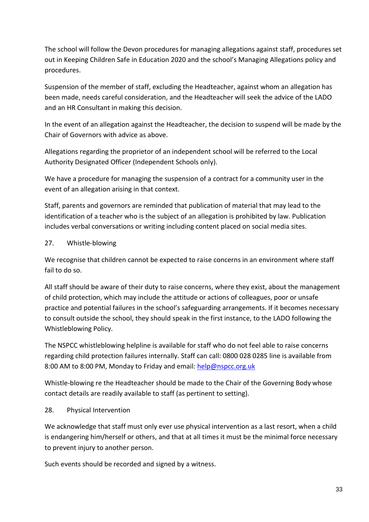The school will follow the Devon procedures for managing allegations against staff, procedures set out in Keeping Children Safe in Education 2020 and the school's Managing Allegations policy and procedures.

Suspension of the member of staff, excluding the Headteacher, against whom an allegation has been made, needs careful consideration, and the Headteacher will seek the advice of the LADO and an HR Consultant in making this decision.

In the event of an allegation against the Headteacher, the decision to suspend will be made by the Chair of Governors with advice as above.

Allegations regarding the proprietor of an independent school will be referred to the Local Authority Designated Officer (Independent Schools only).

We have a procedure for managing the suspension of a contract for a community user in the event of an allegation arising in that context.

Staff, parents and governors are reminded that publication of material that may lead to the identification of a teacher who is the subject of an allegation is prohibited by law. Publication includes verbal conversations or writing including content placed on social media sites.

#### 27. Whistle-blowing

We recognise that children cannot be expected to raise concerns in an environment where staff fail to do so.

All staff should be aware of their duty to raise concerns, where they exist, about the management of child protection, which may include the attitude or actions of colleagues, poor or unsafe practice and potential failures in the school's safeguarding arrangements. If it becomes necessary to consult outside the school, they should speak in the first instance, to the LADO following the Whistleblowing Policy.

The NSPCC whistleblowing helpline is available for staff who do not feel able to raise concerns regarding child protection failures internally. Staff can call: 0800 028 0285 line is available from 8:00 AM to 8:00 PM, Monday to Friday and email: [help@nspcc.org.uk](mailto:help@nspcc.org.uk)

Whistle-blowing re the Headteacher should be made to the Chair of the Governing Body whose contact details are readily available to staff (as pertinent to setting).

### 28. Physical Intervention

We acknowledge that staff must only ever use physical intervention as a last resort, when a child is endangering him/herself or others, and that at all times it must be the minimal force necessary to prevent injury to another person.

Such events should be recorded and signed by a witness.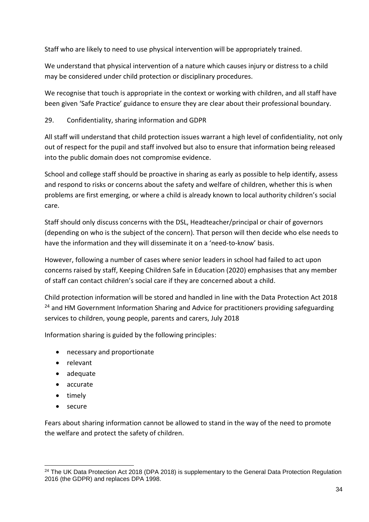Staff who are likely to need to use physical intervention will be appropriately trained.

We understand that physical intervention of a nature which causes injury or distress to a child may be considered under child protection or disciplinary procedures.

We recognise that touch is appropriate in the context or working with children, and all staff have been given 'Safe Practice' guidance to ensure they are clear about their professional boundary.

## 29. Confidentiality, sharing information and GDPR

All staff will understand that child protection issues warrant a high level of confidentiality, not only out of respect for the pupil and staff involved but also to ensure that information being released into the public domain does not compromise evidence.

School and college staff should be proactive in sharing as early as possible to help identify, assess and respond to risks or concerns about the safety and welfare of children, whether this is when problems are first emerging, or where a child is already known to local authority children's social care.

Staff should only discuss concerns with the DSL, Headteacher/principal or chair of governors (depending on who is the subject of the concern). That person will then decide who else needs to have the information and they will disseminate it on a 'need-to-know' basis.

However, following a number of cases where senior leaders in school had failed to act upon concerns raised by staff, Keeping Children Safe in Education (2020) emphasises that any member of staff can contact children's social care if they are concerned about a child.

Child protection information will be stored and handled in line with the Data Protection Act 2018  $24$  and HM Government Information Sharing and Advice for practitioners providing safeguarding services to children, young people, parents and carers, July 2018

Information sharing is guided by the following principles:

- necessary and proportionate
- relevant
- adequate
- accurate
- timely
- secure

1

Fears about sharing information cannot be allowed to stand in the way of the need to promote the welfare and protect the safety of children.

<sup>&</sup>lt;sup>24</sup> The UK Data Protection Act 2018 (DPA 2018) is supplementary to the General Data Protection Regulation 2016 (the GDPR) and replaces DPA 1998.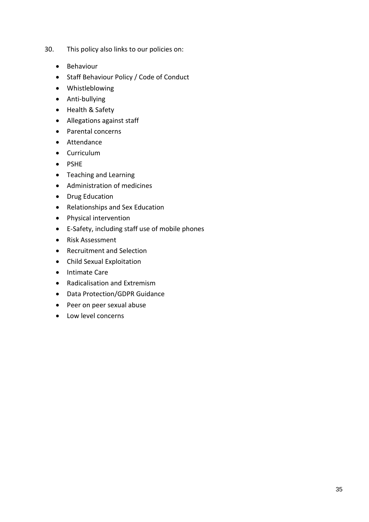- 30. This policy also links to our policies on:
	- Behaviour
	- Staff Behaviour Policy / Code of Conduct
	- Whistleblowing
	- Anti-bullying
	- Health & Safety
	- Allegations against staff
	- Parental concerns
	- Attendance
	- Curriculum
	- PSHE
	- Teaching and Learning
	- Administration of medicines
	- Drug Education
	- Relationships and Sex Education
	- Physical intervention
	- E-Safety, including staff use of mobile phones
	- Risk Assessment
	- Recruitment and Selection
	- Child Sexual Exploitation
	- Intimate Care
	- Radicalisation and Extremism
	- Data Protection/GDPR Guidance
	- Peer on peer sexual abuse
	- Low level concerns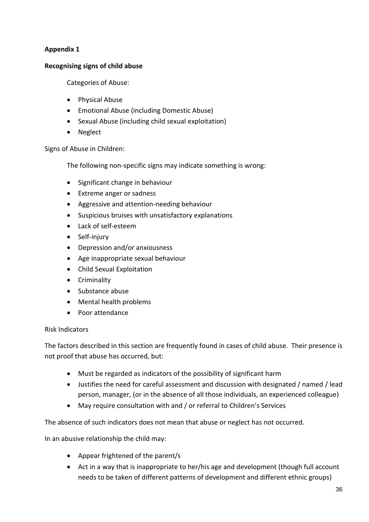### **Appendix 1**

#### **Recognising signs of child abuse**

Categories of Abuse:

- Physical Abuse
- Emotional Abuse (including Domestic Abuse)
- Sexual Abuse (including child sexual exploitation)
- Neglect

Signs of Abuse in Children:

The following non-specific signs may indicate something is wrong:

- Significant change in behaviour
- Extreme anger or sadness
- Aggressive and attention-needing behaviour
- Suspicious bruises with unsatisfactory explanations
- Lack of self-esteem
- Self-injury
- Depression and/or anxiousness
- Age inappropriate sexual behaviour
- Child Sexual Exploitation
- Criminality
- Substance abuse
- Mental health problems
- Poor attendance

#### Risk Indicators

The factors described in this section are frequently found in cases of child abuse. Their presence is not proof that abuse has occurred, but:

- Must be regarded as indicators of the possibility of significant harm
- Justifies the need for careful assessment and discussion with designated / named / lead person, manager, (or in the absence of all those individuals, an experienced colleague)
- May require consultation with and / or referral to Children's Services

The absence of such indicators does not mean that abuse or neglect has not occurred.

In an abusive relationship the child may:

- Appear frightened of the parent/s
- Act in a way that is inappropriate to her/his age and development (though full account needs to be taken of different patterns of development and different ethnic groups)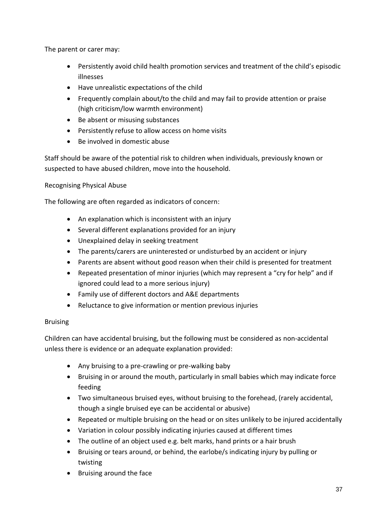The parent or carer may:

- Persistently avoid child health promotion services and treatment of the child's episodic illnesses
- Have unrealistic expectations of the child
- Frequently complain about/to the child and may fail to provide attention or praise (high criticism/low warmth environment)
- Be absent or misusing substances
- Persistently refuse to allow access on home visits
- Be involved in domestic abuse

Staff should be aware of the potential risk to children when individuals, previously known or suspected to have abused children, move into the household.

Recognising Physical Abuse

The following are often regarded as indicators of concern:

- An explanation which is inconsistent with an injury
- Several different explanations provided for an injury
- Unexplained delay in seeking treatment
- The parents/carers are uninterested or undisturbed by an accident or injury
- Parents are absent without good reason when their child is presented for treatment
- Repeated presentation of minor injuries (which may represent a "cry for help" and if ignored could lead to a more serious injury)
- Family use of different doctors and A&E departments
- Reluctance to give information or mention previous injuries

## Bruising

Children can have accidental bruising, but the following must be considered as non-accidental unless there is evidence or an adequate explanation provided:

- Any bruising to a pre-crawling or pre-walking baby
- Bruising in or around the mouth, particularly in small babies which may indicate force feeding
- Two simultaneous bruised eyes, without bruising to the forehead, (rarely accidental, though a single bruised eye can be accidental or abusive)
- Repeated or multiple bruising on the head or on sites unlikely to be injured accidentally
- Variation in colour possibly indicating injuries caused at different times
- The outline of an object used e.g. belt marks, hand prints or a hair brush
- Bruising or tears around, or behind, the earlobe/s indicating injury by pulling or twisting
- Bruising around the face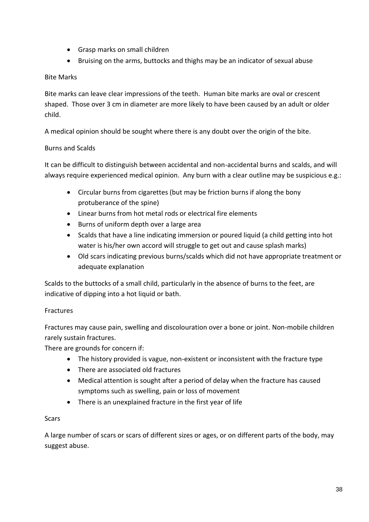- Grasp marks on small children
- Bruising on the arms, buttocks and thighs may be an indicator of sexual abuse

## Bite Marks

Bite marks can leave clear impressions of the teeth. Human bite marks are oval or crescent shaped. Those over 3 cm in diameter are more likely to have been caused by an adult or older child.

A medical opinion should be sought where there is any doubt over the origin of the bite.

## Burns and Scalds

It can be difficult to distinguish between accidental and non-accidental burns and scalds, and will always require experienced medical opinion. Any burn with a clear outline may be suspicious e.g.:

- Circular burns from cigarettes (but may be friction burns if along the bony protuberance of the spine)
- Linear burns from hot metal rods or electrical fire elements
- Burns of uniform depth over a large area
- Scalds that have a line indicating immersion or poured liquid (a child getting into hot water is his/her own accord will struggle to get out and cause splash marks)
- Old scars indicating previous burns/scalds which did not have appropriate treatment or adequate explanation

Scalds to the buttocks of a small child, particularly in the absence of burns to the feet, are indicative of dipping into a hot liquid or bath.

## Fractures

Fractures may cause pain, swelling and discolouration over a bone or joint. Non-mobile children rarely sustain fractures.

There are grounds for concern if:

- The history provided is vague, non-existent or inconsistent with the fracture type
- There are associated old fractures
- Medical attention is sought after a period of delay when the fracture has caused symptoms such as swelling, pain or loss of movement
- There is an unexplained fracture in the first year of life

## **Scars**

A large number of scars or scars of different sizes or ages, or on different parts of the body, may suggest abuse.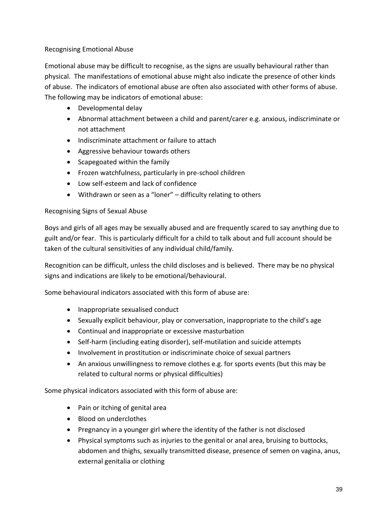## Recognising Emotional Abuse

Emotional abuse may be difficult to recognise, as the signs are usually behavioural rather than physical. The manifestations of emotional abuse might also indicate the presence of other kinds of abuse. The indicators of emotional abuse are often also associated with other forms of abuse. The following may be indicators of emotional abuse:

- Developmental delay
- Abnormal attachment between a child and parent/carer e.g. anxious, indiscriminate or not attachment
- Indiscriminate attachment or failure to attach
- Aggressive behaviour towards others
- Scapegoated within the family
- Frozen watchfulness, particularly in pre-school children
- Low self-esteem and lack of confidence
- Withdrawn or seen as a "loner" difficulty relating to others

## Recognising Signs of Sexual Abuse

Boys and girls of all ages may be sexually abused and are frequently scared to say anything due to guilt and/or fear. This is particularly difficult for a child to talk about and full account should be taken of the cultural sensitivities of any individual child/family.

Recognition can be difficult, unless the child discloses and is believed. There may be no physical signs and indications are likely to be emotional/behavioural.

Some behavioural indicators associated with this form of abuse are:

- Inappropriate sexualised conduct
- Sexually explicit behaviour, play or conversation, inappropriate to the child's age
- Continual and inappropriate or excessive masturbation
- Self-harm (including eating disorder), self-mutilation and suicide attempts
- Involvement in prostitution or indiscriminate choice of sexual partners
- An anxious unwillingness to remove clothes e.g. for sports events (but this may be related to cultural norms or physical difficulties)

Some physical indicators associated with this form of abuse are:

- Pain or itching of genital area
- Blood on underclothes
- Pregnancy in a younger girl where the identity of the father is not disclosed
- Physical symptoms such as injuries to the genital or anal area, bruising to buttocks, abdomen and thighs, sexually transmitted disease, presence of semen on vagina, anus, external genitalia or clothing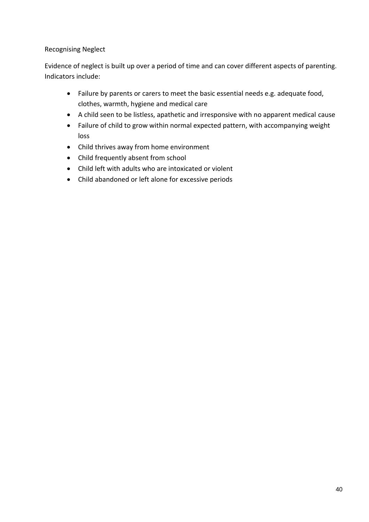## Recognising Neglect

Evidence of neglect is built up over a period of time and can cover different aspects of parenting. Indicators include:

- Failure by parents or carers to meet the basic essential needs e.g. adequate food, clothes, warmth, hygiene and medical care
- A child seen to be listless, apathetic and irresponsive with no apparent medical cause
- Failure of child to grow within normal expected pattern, with accompanying weight loss
- Child thrives away from home environment
- Child frequently absent from school
- Child left with adults who are intoxicated or violent
- Child abandoned or left alone for excessive periods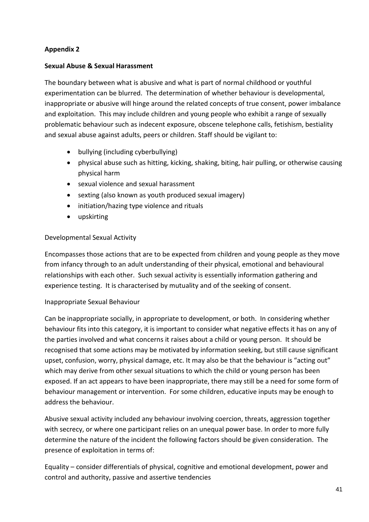## **Appendix 2**

## **Sexual Abuse & Sexual Harassment**

The boundary between what is abusive and what is part of normal childhood or youthful experimentation can be blurred. The determination of whether behaviour is developmental, inappropriate or abusive will hinge around the related concepts of true consent, power imbalance and exploitation. This may include children and young people who exhibit a range of sexually problematic behaviour such as indecent exposure, obscene telephone calls, fetishism, bestiality and sexual abuse against adults, peers or children. Staff should be vigilant to:

- bullying (including cyberbullying)
- physical abuse such as hitting, kicking, shaking, biting, hair pulling, or otherwise causing physical harm
- sexual violence and sexual harassment
- sexting (also known as youth produced sexual imagery)
- initiation/hazing type violence and rituals
- upskirting

## Developmental Sexual Activity

Encompasses those actions that are to be expected from children and young people as they move from infancy through to an adult understanding of their physical, emotional and behavioural relationships with each other. Such sexual activity is essentially information gathering and experience testing. It is characterised by mutuality and of the seeking of consent.

## Inappropriate Sexual Behaviour

Can be inappropriate socially, in appropriate to development, or both. In considering whether behaviour fits into this category, it is important to consider what negative effects it has on any of the parties involved and what concerns it raises about a child or young person. It should be recognised that some actions may be motivated by information seeking, but still cause significant upset, confusion, worry, physical damage, etc. It may also be that the behaviour is "acting out" which may derive from other sexual situations to which the child or young person has been exposed. If an act appears to have been inappropriate, there may still be a need for some form of behaviour management or intervention. For some children, educative inputs may be enough to address the behaviour.

Abusive sexual activity included any behaviour involving coercion, threats, aggression together with secrecy, or where one participant relies on an unequal power base. In order to more fully determine the nature of the incident the following factors should be given consideration. The presence of exploitation in terms of:

Equality – consider differentials of physical, cognitive and emotional development, power and control and authority, passive and assertive tendencies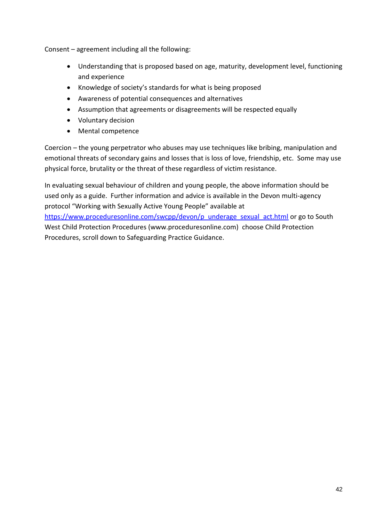Consent – agreement including all the following:

- Understanding that is proposed based on age, maturity, development level, functioning and experience
- Knowledge of society's standards for what is being proposed
- Awareness of potential consequences and alternatives
- Assumption that agreements or disagreements will be respected equally
- Voluntary decision
- Mental competence

Coercion – the young perpetrator who abuses may use techniques like bribing, manipulation and emotional threats of secondary gains and losses that is loss of love, friendship, etc. Some may use physical force, brutality or the threat of these regardless of victim resistance.

In evaluating sexual behaviour of children and young people, the above information should be used only as a guide. Further information and advice is available in the Devon multi-agency protocol "Working with Sexually Active Young People" available at [https://www.proceduresonline.com/swcpp/devon/p\\_underage\\_sexual\\_act.html](https://www.proceduresonline.com/swcpp/devon/p_underage_sexual_act.html) or go to South West Child Protection Procedures (www.proceduresonline.com) choose Child Protection Procedures, scroll down to Safeguarding Practice Guidance.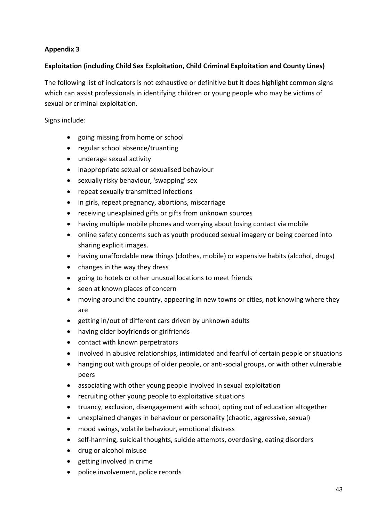## **Appendix 3**

## **Exploitation (including Child Sex Exploitation, Child Criminal Exploitation and County Lines)**

The following list of indicators is not exhaustive or definitive but it does highlight common signs which can assist professionals in identifying children or young people who may be victims of sexual or criminal exploitation.

Signs include:

- going missing from home or school
- regular school absence/truanting
- underage sexual activity
- inappropriate sexual or sexualised behaviour
- sexually risky behaviour, 'swapping' sex
- repeat sexually transmitted infections
- in girls, repeat pregnancy, abortions, miscarriage
- receiving unexplained gifts or gifts from unknown sources
- having multiple mobile phones and worrying about losing contact via mobile
- online safety concerns such as youth produced sexual imagery or being coerced into sharing explicit images.
- having unaffordable new things (clothes, mobile) or expensive habits (alcohol, drugs)
- changes in the way they dress
- going to hotels or other unusual locations to meet friends
- seen at known places of concern
- moving around the country, appearing in new towns or cities, not knowing where they are
- getting in/out of different cars driven by unknown adults
- having older boyfriends or girlfriends
- contact with known perpetrators
- involved in abusive relationships, intimidated and fearful of certain people or situations
- hanging out with groups of older people, or anti-social groups, or with other vulnerable peers
- associating with other young people involved in sexual exploitation
- recruiting other young people to exploitative situations
- truancy, exclusion, disengagement with school, opting out of education altogether
- unexplained changes in behaviour or personality (chaotic, aggressive, sexual)
- mood swings, volatile behaviour, emotional distress
- self-harming, suicidal thoughts, suicide attempts, overdosing, eating disorders
- drug or alcohol misuse
- getting involved in crime
- police involvement, police records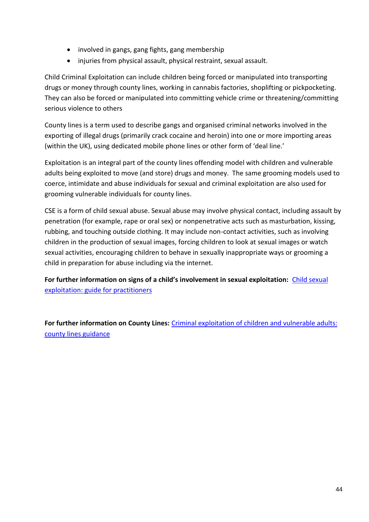- involved in gangs, gang fights, gang membership
- injuries from physical assault, physical restraint, sexual assault.

Child Criminal Exploitation can include children being forced or manipulated into transporting drugs or money through county lines, working in cannabis factories, shoplifting or pickpocketing. They can also be forced or manipulated into committing vehicle crime or threatening/committing serious violence to others

County lines is a term used to describe gangs and organised criminal networks involved in the exporting of illegal drugs (primarily crack cocaine and heroin) into one or more importing areas (within the UK), using dedicated mobile phone lines or other form of 'deal line.'

Exploitation is an integral part of the county lines offending model with children and vulnerable adults being exploited to move (and store) drugs and money. The same grooming models used to coerce, intimidate and abuse individuals for sexual and criminal exploitation are also used for grooming vulnerable individuals for county lines.

CSE is a form of child sexual abuse. Sexual abuse may involve physical contact, including assault by penetration (for example, rape or oral sex) or nonpenetrative acts such as masturbation, kissing, rubbing, and touching outside clothing. It may include non-contact activities, such as involving children in the production of sexual images, forcing children to look at sexual images or watch sexual activities, encouraging children to behave in sexually inappropriate ways or grooming a child in preparation for abuse including via the internet.

**For further information on signs of a child's involvement in sexual exploitation:** [Child sexual](https://assets.publishing.service.gov.uk/government/uploads/system/uploads/attachment_data/file/591903/CSE_Guidance_Core_Document_13.02.2017.pdf)  [exploitation: guide for practitioners](https://assets.publishing.service.gov.uk/government/uploads/system/uploads/attachment_data/file/591903/CSE_Guidance_Core_Document_13.02.2017.pdf)

**For further information on County Lines:** [Criminal exploitation of children and vulnerable adults:](https://www.gov.uk/government/publications/criminal-exploitation-of-children-and-vulnerable-adults-county-lines)  [county lines guidance](https://www.gov.uk/government/publications/criminal-exploitation-of-children-and-vulnerable-adults-county-lines)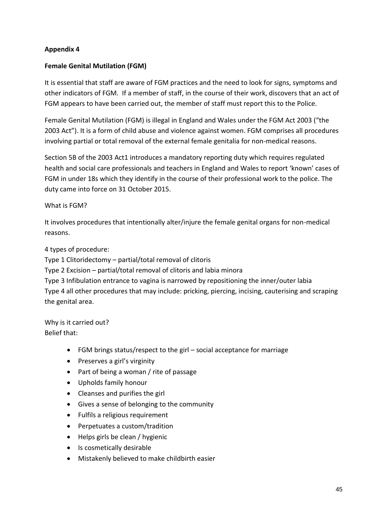## **Appendix 4**

## **Female Genital Mutilation (FGM)**

It is essential that staff are aware of FGM practices and the need to look for signs, symptoms and other indicators of FGM. If a member of staff, in the course of their work, discovers that an act of FGM appears to have been carried out, the member of staff must report this to the Police.

Female Genital Mutilation (FGM) is illegal in England and Wales under the FGM Act 2003 ("the 2003 Act"). It is a form of child abuse and violence against women. FGM comprises all procedures involving partial or total removal of the external female genitalia for non-medical reasons.

Section 5B of the 2003 Act1 introduces a mandatory reporting duty which requires regulated health and social care professionals and teachers in England and Wales to report 'known' cases of FGM in under 18s which they identify in the course of their professional work to the police. The duty came into force on 31 October 2015.

## What is FGM?

It involves procedures that intentionally alter/injure the female genital organs for non-medical reasons.

4 types of procedure:

Type 1 Clitoridectomy – partial/total removal of clitoris

Type 2 Excision – partial/total removal of clitoris and labia minora

Type 3 Infibulation entrance to vagina is narrowed by repositioning the inner/outer labia Type 4 all other procedures that may include: pricking, piercing, incising, cauterising and scraping the genital area.

Why is it carried out? Belief that:

- FGM brings status/respect to the girl social acceptance for marriage
- Preserves a girl's virginity
- Part of being a woman / rite of passage
- Upholds family honour
- Cleanses and purifies the girl
- Gives a sense of belonging to the community
- Fulfils a religious requirement
- Perpetuates a custom/tradition
- Helps girls be clean / hygienic
- Is cosmetically desirable
- Mistakenly believed to make childbirth easier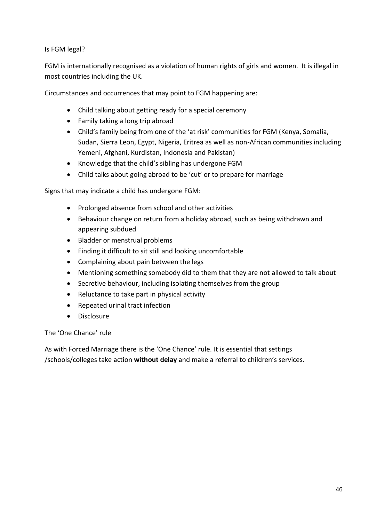## Is FGM legal?

FGM is internationally recognised as a violation of human rights of girls and women. It is illegal in most countries including the UK.

Circumstances and occurrences that may point to FGM happening are:

- Child talking about getting ready for a special ceremony
- Family taking a long trip abroad
- Child's family being from one of the 'at risk' communities for FGM (Kenya, Somalia, Sudan, Sierra Leon, Egypt, Nigeria, Eritrea as well as non-African communities including Yemeni, Afghani, Kurdistan, Indonesia and Pakistan)
- Knowledge that the child's sibling has undergone FGM
- Child talks about going abroad to be 'cut' or to prepare for marriage

Signs that may indicate a child has undergone FGM:

- Prolonged absence from school and other activities
- Behaviour change on return from a holiday abroad, such as being withdrawn and appearing subdued
- Bladder or menstrual problems
- Finding it difficult to sit still and looking uncomfortable
- Complaining about pain between the legs
- Mentioning something somebody did to them that they are not allowed to talk about
- Secretive behaviour, including isolating themselves from the group
- Reluctance to take part in physical activity
- Repeated urinal tract infection
- Disclosure

The 'One Chance' rule

As with Forced Marriage there is the 'One Chance' rule. It is essential that settings /schools/colleges take action **without delay** and make a referral to children's services.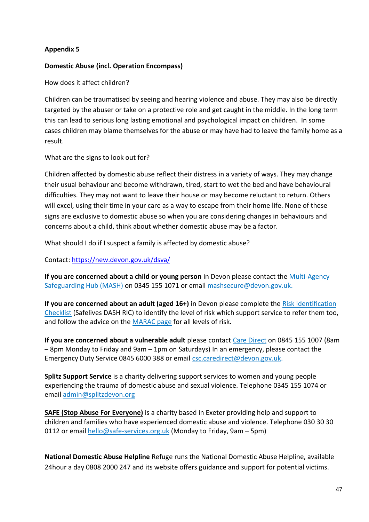## **Appendix 5**

## **Domestic Abuse (incl. Operation Encompass)**

How does it affect children?

Children can be traumatised by seeing and hearing violence and abuse. They may also be directly targeted by the abuser or take on a protective role and get caught in the middle. In the long term this can lead to serious long lasting emotional and psychological impact on children. In some cases children may blame themselves for the abuse or may have had to leave the family home as a result.

What are the signs to look out for?

Children affected by domestic abuse reflect their distress in a variety of ways. They may change their usual behaviour and become withdrawn, tired, start to wet the bed and have behavioural difficulties. They may not want to leave their house or may become reluctant to return. Others will excel, using their time in your care as a way to escape from their home life. None of these signs are exclusive to domestic abuse so when you are considering changes in behaviours and concerns about a child, think about whether domestic abuse may be a factor.

What should I do if I suspect a family is affected by domestic abuse?

Contact:<https://new.devon.gov.uk/dsva/>

**If you are concerned about a child or young person** in Devon please contact the [Multi-Agency](https://www.devon.gov.uk/educationandfamilies/child-protection/making-a-mash-enquiry)  [Safeguarding Hub \(MASH\)](https://www.devon.gov.uk/educationandfamilies/child-protection/making-a-mash-enquiry) on 0345 155 1071 or email [mashsecure@devon.gov.uk.](mailto:mashsecure@devon.gov.uk)

**If you are concerned about an adult (aged 16+)** in Devon please complete the [Risk Identification](https://safelives.org.uk/sites/default/files/resources/NI%20Dash%20without%20guidance%20FINAL.pdf)  [Checklist](https://safelives.org.uk/sites/default/files/resources/NI%20Dash%20without%20guidance%20FINAL.pdf) (Safelives DASH RIC) to identify the level of risk which support service to refer them too, and follow the advice on the [MARAC page](https://new.devon.gov.uk/dsva/information-for-professionals/marac/) for all levels of risk.

**If you are concerned about a vulnerable adult** please contact [Care Direct](https://new.devon.gov.uk/devonsafeguardingadultsboard/reporting-concerns) on 0845 155 1007 (8am – 8pm Monday to Friday and 9am – 1pm on Saturdays) In an emergency, please contact the Emergency Duty Service 0845 6000 388 or email [csc.caredirect@devon.gov.uk.](mailto:csc.caredirect@devon.gov.uk)

**[Splitz Support Service](https://www.splitz.org/devon.html)** is a charity delivering support services to women and young people experiencing the trauma of domestic abuse and sexual violence. Telephone 0345 155 1074 or email [admin@splitzdevon.org](mailto:admin@splitzdevon.org)

**SAFE [\(Stop Abuse For Everyone\)](https://www.safe-services.org.uk/)** is a charity based in Exeter providing help and support to children and families who have experienced domestic abuse and violence. Telephone 030 30 30 0112 or email [hello@safe-services.org.uk](mailto:info@safe-services.org.uk) (Monday to Friday, 9am – 5pm)

**National Domestic Abuse Helpline** Refuge runs the National Domestic Abuse Helpline, available 24hour a day 0808 2000 247 and its website offers guidance and support for potential victims.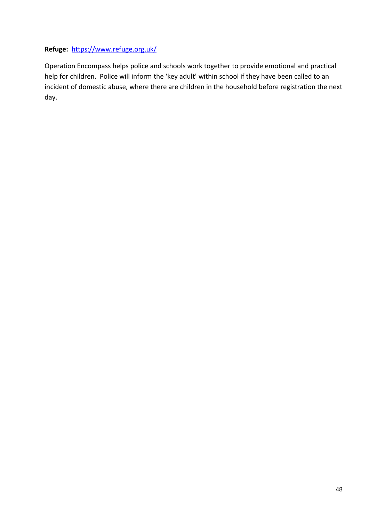## **Refuge:** <https://www.refuge.org.uk/>

Operation Encompass helps police and schools work together to provide emotional and practical help for children. Police will inform the 'key adult' within school if they have been called to an incident of domestic abuse, where there are children in the household before registration the next day.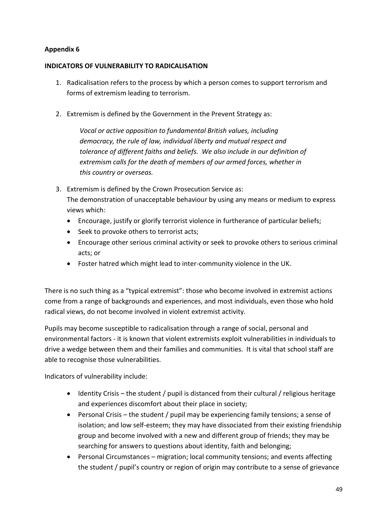## **Appendix 6**

## **INDICATORS OF VULNERABILITY TO RADICALISATION**

- 1. Radicalisation refers to the process by which a person comes to support terrorism and forms of extremism leading to terrorism.
- 2. Extremism is defined by the Government in the Prevent Strategy as:

*Vocal or active opposition to fundamental British values, including democracy, the rule of law, individual liberty and mutual respect and tolerance of different faiths and beliefs. We also include in our definition of extremism calls for the death of members of our armed forces, whether in this country or overseas.*

- 3. Extremism is defined by the Crown Prosecution Service as: The demonstration of unacceptable behaviour by using any means or medium to express views which:
	- Encourage, justify or glorify terrorist violence in furtherance of particular beliefs;
	- Seek to provoke others to terrorist acts:
	- Encourage other serious criminal activity or seek to provoke others to serious criminal acts; or
	- Foster hatred which might lead to inter-community violence in the UK.

There is no such thing as a "typical extremist": those who become involved in extremist actions come from a range of backgrounds and experiences, and most individuals, even those who hold radical views, do not become involved in violent extremist activity.

Pupils may become susceptible to radicalisation through a range of social, personal and environmental factors - it is known that violent extremists exploit vulnerabilities in individuals to drive a wedge between them and their families and communities. It is vital that school staff are able to recognise those vulnerabilities.

Indicators of vulnerability include:

- Identity Crisis the student / pupil is distanced from their cultural / religious heritage and experiences discomfort about their place in society;
- Personal Crisis the student / pupil may be experiencing family tensions; a sense of isolation; and low self-esteem; they may have dissociated from their existing friendship group and become involved with a new and different group of friends; they may be searching for answers to questions about identity, faith and belonging;
- Personal Circumstances migration; local community tensions; and events affecting the student / pupil's country or region of origin may contribute to a sense of grievance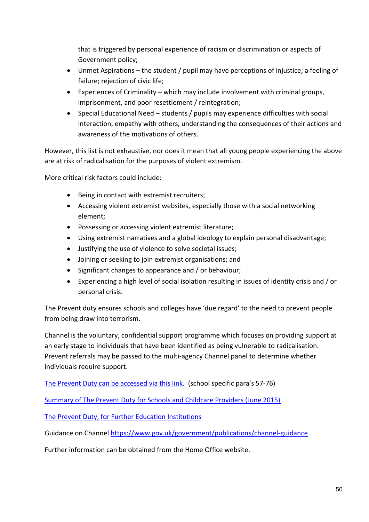that is triggered by personal experience of racism or discrimination or aspects of Government policy;

- Unmet Aspirations the student / pupil may have perceptions of injustice; a feeling of failure; rejection of civic life;
- Experiences of Criminality which may include involvement with criminal groups, imprisonment, and poor resettlement / reintegration;
- Special Educational Need students / pupils may experience difficulties with social interaction, empathy with others, understanding the consequences of their actions and awareness of the motivations of others.

However, this list is not exhaustive, nor does it mean that all young people experiencing the above are at risk of radicalisation for the purposes of violent extremism.

More critical risk factors could include:

- Being in contact with extremist recruiters;
- Accessing violent extremist websites, especially those with a social networking element;
- Possessing or accessing violent extremist literature;
- Using extremist narratives and a global ideology to explain personal disadvantage;
- Justifying the use of violence to solve societal issues;
- Joining or seeking to join extremist organisations; and
- Significant changes to appearance and / or behaviour;
- Experiencing a high level of social isolation resulting in issues of identity crisis and / or personal crisis.

The Prevent duty ensures schools and colleges have 'due regard' to the need to prevent people from being draw into terrorism.

Channel is the voluntary, confidential support programme which focuses on providing support at an early stage to individuals that have been identified as being vulnerable to radicalisation. Prevent referrals may be passed to the multi-agency Channel panel to determine whether individuals require support.

[The Prevent Duty can be accessed via this link.](https://www.gov.uk/government/publications/prevent-duty-guidance/revised-prevent-duty-guidance-for-england-and-wales) (school specific para's 57-76)

Summary of [The Prevent Duty for Schools and Childcare Providers \(June 2015\)](https://assets.publishing.service.gov.uk/government/uploads/system/uploads/attachment_data/file/439598/prevent-duty-departmental-advice-v6.pdf)

[The Prevent Duty, for Further Education Institutions](https://www.gov.uk/government/publications/prevent-duty-guidance/prevent-duty-guidance-for-further-education-institutions-in-england-and-wales)

Guidance on Channel <https://www.gov.uk/government/publications/channel-guidance>

Further information can be obtained from the Home Office website.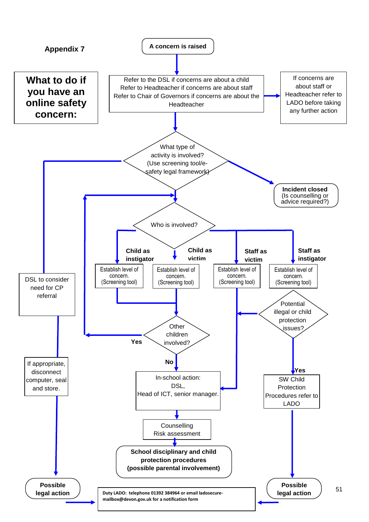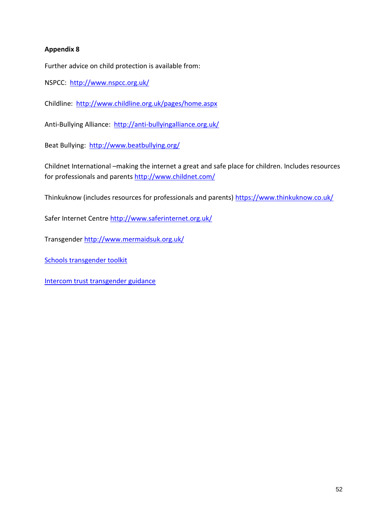## **Appendix 8**

Further advice on child protection is available from:

NSPCC: <http://www.nspcc.org.uk/>

Childline: <http://www.childline.org.uk/pages/home.aspx>

Anti-Bullying Alliance: <http://anti-bullyingalliance.org.uk/>

Beat Bullying: <http://www.beatbullying.org/>

Childnet International –making the internet a great and safe place for children. Includes resources for professionals and parents<http://www.childnet.com/>

Thinkuknow (includes resources for professionals and parents)<https://www.thinkuknow.co.uk/>

Safer Internet Centre<http://www.saferinternet.org.uk/>

Transgender<http://www.mermaidsuk.org.uk/>

[Schools transgender toolkit](https://www.theproudtrust.org/resources/research-and-guidance-by-other-organisations/trans-inclusion-schools-toolkit/)

[Intercom trust transgender guidance](https://www.intercomtrust.org.uk/item/55-schools-transgender-guidance-july-2015)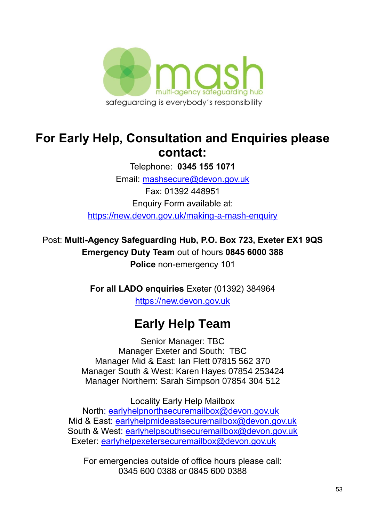

# **For Early Help, Consultation and Enquiries please contact:**

Telephone: **0345 155 1071**

Email: [mashsecure@devon.gov.uk](mailto:mashsecure@devon.gov.uk)

Fax: 01392 448951 Enquiry Form available at:

[https://new.devon.gov.uk/making-a-mash-enquiry](https://new.devon.gov.uk/educationandfamilies/child-protection/making-a-mash-enquiry)

Post: **Multi-Agency Safeguarding Hub, P.O. Box 723, Exeter EX1 9QS Emergency Duty Team** out of hours **0845 6000 388 Police** non-emergency 101

> **For all LADO enquiries** Exeter (01392) 384964 [https://new.devon.gov.uk](https://new.devon.gov.uk/educationandfamilies/child-protection/managing-allegations-against-adults-working-with-children)

# **Early Help Team**

Senior Manager: TBC Manager Exeter and South: TBC Manager Mid & East: Ian Flett 07815 562 370 Manager South & West: Karen Hayes 07854 253424 Manager Northern: Sarah Simpson 07854 304 512

Locality Early Help Mailbox North: [earlyhelpnorthsecuremailbox@devon.gov.uk](mailto:earlyhelpnorthsecuremailbox@devon.gov.uk) Mid & East: [earlyhelpmideastsecuremailbox@devon.gov.uk](mailto:earlyhelpmideastsecuremailbox@devon.gov.uk) South & West: [earlyhelpsouthsecuremailbox@devon.gov.uk](mailto:earlyhelpsouthsecuremailbox@devon.gov.uk) Exeter: [earlyhelpexetersecuremailbox@devon.gov.uk](mailto:earlyhelpexetersecuremailbox@devon.gov.uk)

For emergencies outside of office hours please call: 0345 600 0388 or 0845 600 0388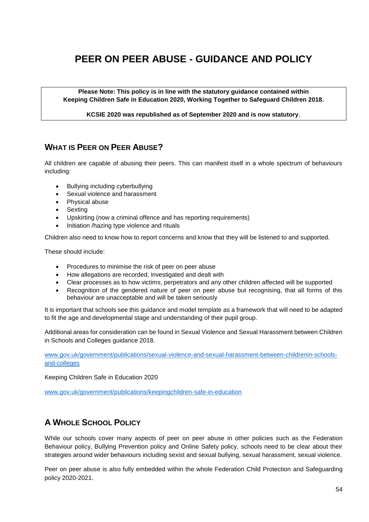## **PEER ON PEER ABUSE - GUIDANCE AND POLICY**

**Please Note: This policy is in line with the statutory guidance contained within Keeping Children Safe in Education 2020, Working Together to Safeguard Children 2018.**

**KCSIE 2020 was republished as of September 2020 and is now statutory**.

## **WHAT IS PEER ON PEER ABUSE?**

All children are capable of abusing their peers. This can manifest itself in a whole spectrum of behaviours including:

- Bullying including cyberbullying
- Sexual violence and harassment
- Physical abuse
- Sexting
- Upskirting (now a criminal offence and has reporting requirements)
- Initiation /hazing type violence and rituals

Children also need to know how to report concerns and know that they will be listened to and supported.

These should include:

- Procedures to minimise the risk of peer on peer abuse
- How allegations are recorded, investigated and dealt with
- Clear processes as to how victims, perpetrators and any other children affected will be supported
- Recognition of the gendered nature of peer on peer abuse but recognising, that all forms of this behaviour are unacceptable and will be taken seriously

It is important that schools see this guidance and model template as a framework that will need to be adapted to fit the age and developmental stage and understanding of their pupil group.

Additional areas for consideration can be found in Sexual Violence and Sexual Harassment between Children in Schools and Colleges guidance 2018.

[www.gov.uk/government/publications/sexual-violence-and-sexual-harassment-between-childrenin-schools](http://www.gov.uk/government/publications/sexual-violence-and-sexual-harassment-between-children-in-schools-and-colleges)[and-colleges](http://www.gov.uk/government/publications/sexual-violence-and-sexual-harassment-between-children-in-schools-and-colleges)

Keeping Children Safe in Education 2020

[www.gov.uk/government/publications/keepingchildren-safe-in-education](http://www.gov.uk/government/publications/keeping-children-safe-in-education) 

## **A WHOLE SCHOOL POLICY**

While our schools cover many aspects of peer on peer abuse in other policies such as the Federation Behaviour policy, Bullying Prevention policy and Online Safety policy, schools need to be clear about their strategies around wider behaviours including sexist and sexual bullying, sexual harassment, sexual violence.

Peer on peer abuse is also fully embedded within the whole Federation Child Protection and Safeguarding policy 2020-2021.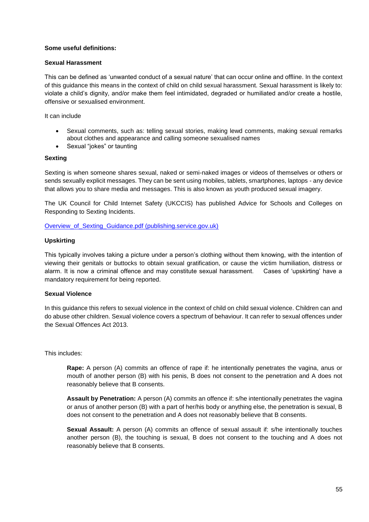#### **Some useful definitions:**

#### **Sexual Harassment**

This can be defined as 'unwanted conduct of a sexual nature' that can occur online and offline. In the context of this guidance this means in the context of child on child sexual harassment. Sexual harassment is likely to: violate a child's dignity, and/or make them feel intimidated, degraded or humiliated and/or create a hostile, offensive or sexualised environment.

It can include

- Sexual comments, such as: telling sexual stories, making lewd comments, making sexual remarks about clothes and appearance and calling someone sexualised names
- Sexual "jokes" or taunting

#### **Sexting**

Sexting is when someone shares sexual, naked or semi-naked images or videos of themselves or others or sends sexually explicit messages. They can be sent using mobiles, tablets, smartphones, laptops - any device that allows you to share media and messages. This is also known as youth produced sexual imagery.

The UK Council for Child Internet Safety (UKCCIS) has published Advice for Schools and Colleges on Responding to Sexting Incidents.

Overview of Sexting Guidance.pdf (publishing.service.gov.uk)

#### **Upskirting**

This typically involves taking a picture under a person's clothing without them knowing, with the intention of viewing their genitals or buttocks to obtain sexual gratification, or cause the victim humiliation, distress or alarm. It is now a criminal offence and may constitute sexual harassment. Cases of 'upskirting' have a mandatory requirement for being reported.

#### **Sexual Violence**

In this guidance this refers to sexual violence in the context of child on child sexual violence. Children can and do abuse other children. Sexual violence covers a spectrum of behaviour. It can refer to sexual offences under the Sexual Offences Act 2013.

This includes:

**Rape:** A person (A) commits an offence of rape if: he intentionally penetrates the vagina, anus or mouth of another person (B) with his penis, B does not consent to the penetration and A does not reasonably believe that B consents.

**Assault by Penetration:** A person (A) commits an offence if: s/he intentionally penetrates the vagina or anus of another person (B) with a part of her/his body or anything else, the penetration is sexual, B does not consent to the penetration and A does not reasonably believe that B consents.

**Sexual Assault:** A person (A) commits an offence of sexual assault if: s/he intentionally touches another person (B), the touching is sexual, B does not consent to the touching and A does not reasonably believe that B consents.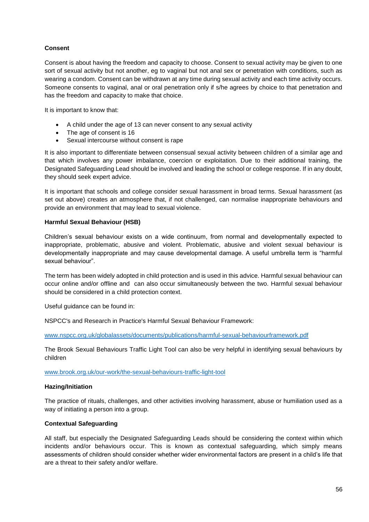#### **Consent**

Consent is about having the freedom and capacity to choose. Consent to sexual activity may be given to one sort of sexual activity but not another, eg to vaginal but not anal sex or penetration with conditions, such as wearing a condom. Consent can be withdrawn at any time during sexual activity and each time activity occurs. Someone consents to vaginal, anal or oral penetration only if s/he agrees by choice to that penetration and has the freedom and capacity to make that choice.

It is important to know that:

- A child under the age of 13 can never consent to any sexual activity
- The age of consent is 16
- Sexual intercourse without consent is rape

It is also important to differentiate between consensual sexual activity between children of a similar age and that which involves any power imbalance, coercion or exploitation. Due to their additional training, the Designated Safeguarding Lead should be involved and leading the school or college response. If in any doubt, they should seek expert advice.

It is important that schools and college consider sexual harassment in broad terms. Sexual harassment (as set out above) creates an atmosphere that, if not challenged, can normalise inappropriate behaviours and provide an environment that may lead to sexual violence.

#### **Harmful Sexual Behaviour (HSB)**

Children's sexual behaviour exists on a wide continuum, from normal and developmentally expected to inappropriate, problematic, abusive and violent. Problematic, abusive and violent sexual behaviour is developmentally inappropriate and may cause developmental damage. A useful umbrella term is "harmful sexual behaviour".

The term has been widely adopted in child protection and is used in this advice. Harmful sexual behaviour can occur online and/or offline and can also occur simultaneously between the two. Harmful sexual behaviour should be considered in a child protection context.

Useful guidance can be found in:

NSPCC's and Research in Practice's Harmful Sexual Behaviour Framework:

[www.nspcc.org.uk/globalassets/documents/publications/harmful-sexual-behaviourframework.pdf](http://www.nspcc.org.uk/globalassets/documents/publications/harmful-sexual-behaviour-framework.pdf)

The Brook Sexual Behaviours Traffic Light Tool can also be very helpful in identifying sexual behaviours by children

[www.brook.org.uk/our-work/the-sexual-behaviours-traffic-light-tool](http://www.brook.org.uk/our-work/the-sexual-behaviours-traffic-light-tool)

#### **Hazing/Initiation**

The practice of rituals, challenges, and other activities involving harassment, abuse or humiliation used as a way of initiating a person into a group.

#### **Contextual Safeguarding**

All staff, but especially the Designated Safeguarding Leads should be considering the context within which incidents and/or behaviours occur. This is known as contextual safeguarding, which simply means assessments of children should consider whether wider environmental factors are present in a child's life that are a threat to their safety and/or welfare.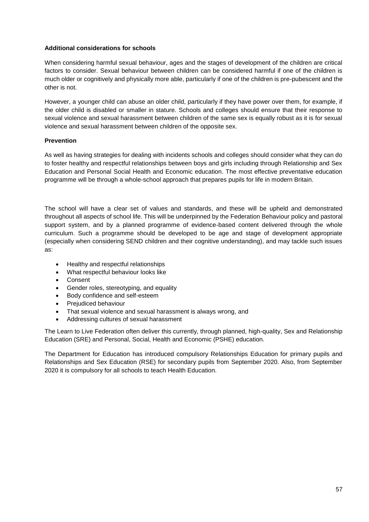#### **Additional considerations for schools**

When considering harmful sexual behaviour, ages and the stages of development of the children are critical factors to consider. Sexual behaviour between children can be considered harmful if one of the children is much older or cognitively and physically more able, particularly if one of the children is pre-pubescent and the other is not.

However, a younger child can abuse an older child, particularly if they have power over them, for example, if the older child is disabled or smaller in stature. Schools and colleges should ensure that their response to sexual violence and sexual harassment between children of the same sex is equally robust as it is for sexual violence and sexual harassment between children of the opposite sex.

#### **Prevention**

As well as having strategies for dealing with incidents schools and colleges should consider what they can do to foster healthy and respectful relationships between boys and girls including through Relationship and Sex Education and Personal Social Health and Economic education. The most effective preventative education programme will be through a whole-school approach that prepares pupils for life in modern Britain.

The school will have a clear set of values and standards, and these will be upheld and demonstrated throughout all aspects of school life. This will be underpinned by the Federation Behaviour policy and pastoral support system, and by a planned programme of evidence-based content delivered through the whole curriculum. Such a programme should be developed to be age and stage of development appropriate (especially when considering SEND children and their cognitive understanding), and may tackle such issues as:

- Healthy and respectful relationships
- What respectful behaviour looks like
- **Consent**
- Gender roles, stereotyping, and equality
- Body confidence and self-esteem
- Prejudiced behaviour
- That sexual violence and sexual harassment is always wrong, and
- Addressing cultures of sexual harassment

The Learn to Live Federation often deliver this currently, through planned, high-quality, Sex and Relationship Education (SRE) and Personal, Social, Health and Economic (PSHE) education.

The Department for Education has introduced compulsory Relationships Education for primary pupils and Relationships and Sex Education (RSE) for secondary pupils from September 2020. Also, from September 2020 it is compulsory for all schools to teach Health Education.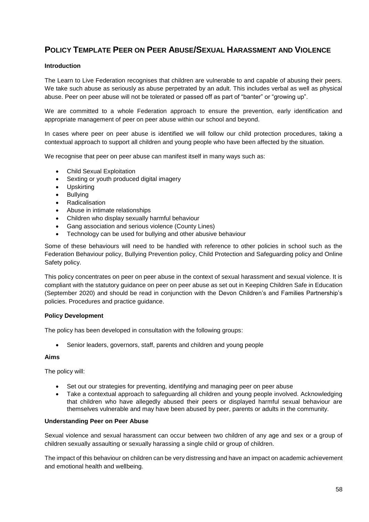## **POLICY TEMPLATE PEER ON PEER ABUSE/SEXUAL HARASSMENT AND VIOLENCE**

#### **Introduction**

The Learn to Live Federation recognises that children are vulnerable to and capable of abusing their peers. We take such abuse as seriously as abuse perpetrated by an adult. This includes verbal as well as physical abuse. Peer on peer abuse will not be tolerated or passed off as part of "banter" or "growing up".

We are committed to a whole Federation approach to ensure the prevention, early identification and appropriate management of peer on peer abuse within our school and beyond.

In cases where peer on peer abuse is identified we will follow our child protection procedures, taking a contextual approach to support all children and young people who have been affected by the situation.

We recognise that peer on peer abuse can manifest itself in many ways such as:

- Child Sexual Exploitation
- Sexting or youth produced digital imagery
- Upskirting
- **Bullving**
- Radicalisation
- Abuse in intimate relationships
- Children who display sexually harmful behaviour
- Gang association and serious violence (County Lines)
- Technology can be used for bullying and other abusive behaviour

Some of these behaviours will need to be handled with reference to other policies in school such as the Federation Behaviour policy, Bullying Prevention policy, Child Protection and Safeguarding policy and Online Safety policy.

This policy concentrates on peer on peer abuse in the context of sexual harassment and sexual violence. It is compliant with the statutory guidance on peer on peer abuse as set out in Keeping Children Safe in Education (September 2020) and should be read in conjunction with the Devon Children's and Families Partnership's policies. Procedures and practice guidance.

#### **Policy Development**

The policy has been developed in consultation with the following groups:

• Senior leaders, governors, staff, parents and children and young people

#### **Aims**

The policy will:

- Set out our strategies for preventing, identifying and managing peer on peer abuse
- Take a contextual approach to safeguarding all children and young people involved. Acknowledging that children who have allegedly abused their peers or displayed harmful sexual behaviour are themselves vulnerable and may have been abused by peer, parents or adults in the community.

#### **Understanding Peer on Peer Abuse**

Sexual violence and sexual harassment can occur between two children of any age and sex or a group of children sexually assaulting or sexually harassing a single child or group of children.

The impact of this behaviour on children can be very distressing and have an impact on academic achievement and emotional health and wellbeing.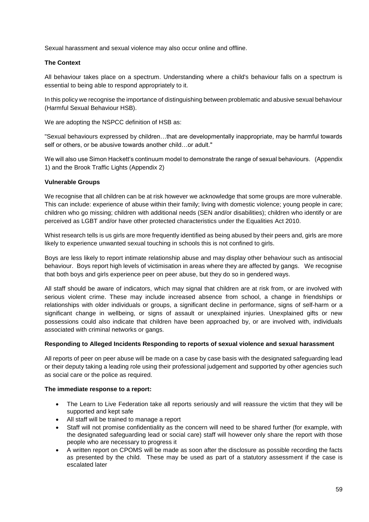Sexual harassment and sexual violence may also occur online and offline.

#### **The Context**

All behaviour takes place on a spectrum. Understanding where a child's behaviour falls on a spectrum is essential to being able to respond appropriately to it.

In this policy we recognise the importance of distinguishing between problematic and abusive sexual behaviour (Harmful Sexual Behaviour HSB).

We are adopting the NSPCC definition of HSB as:

"Sexual behaviours expressed by children…that are developmentally inappropriate, may be harmful towards self or others, or be abusive towards another child…or adult."

We will also use Simon Hackett's continuum model to demonstrate the range of sexual behaviours. (Appendix 1) and the Brook Traffic Lights (Appendix 2)

#### **Vulnerable Groups**

We recognise that all children can be at risk however we acknowledge that some groups are more vulnerable. This can include: experience of abuse within their family; living with domestic violence; young people in care; children who go missing; children with additional needs (SEN and/or disabilities); children who identify or are perceived as LGBT and/or have other protected characteristics under the Equalities Act 2010.

Whist research tells is us girls are more frequently identified as being abused by their peers and, girls are more likely to experience unwanted sexual touching in schools this is not confined to girls.

Boys are less likely to report intimate relationship abuse and may display other behaviour such as antisocial behaviour. Boys report high levels of victimisation in areas where they are affected by gangs. We recognise that both boys and girls experience peer on peer abuse, but they do so in gendered ways.

All staff should be aware of indicators, which may signal that children are at risk from, or are involved with serious violent crime. These may include increased absence from school, a change in friendships or relationships with older individuals or groups, a significant decline in performance, signs of self-harm or a significant change in wellbeing, or signs of assault or unexplained injuries. Unexplained gifts or new possessions could also indicate that children have been approached by, or are involved with, individuals associated with criminal networks or gangs.

#### **Responding to Alleged Incidents Responding to reports of sexual violence and sexual harassment**

All reports of peer on peer abuse will be made on a case by case basis with the designated safeguarding lead or their deputy taking a leading role using their professional judgement and supported by other agencies such as social care or the police as required.

#### **The immediate response to a report:**

- The Learn to Live Federation take all reports seriously and will reassure the victim that they will be supported and kept safe
- All staff will be trained to manage a report
- Staff will not promise confidentiality as the concern will need to be shared further (for example, with the designated safeguarding lead or social care) staff will however only share the report with those people who are necessary to progress it
- A written report on CPOMS will be made as soon after the disclosure as possible recording the facts as presented by the child. These may be used as part of a statutory assessment if the case is escalated later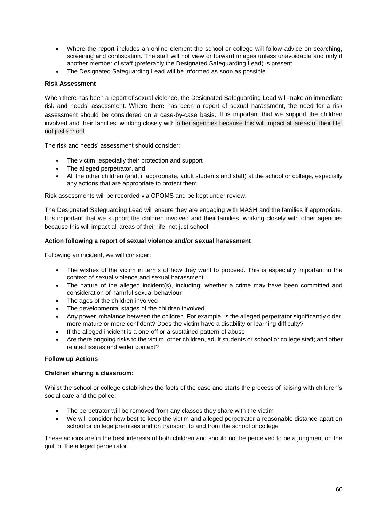- Where the report includes an online element the school or college will follow advice on searching, screening and confiscation. The staff will not view or forward images unless unavoidable and only if another member of staff (preferably the Designated Safeguarding Lead) is present
- The Designated Safeguarding Lead will be informed as soon as possible

#### **Risk Assessment**

When there has been a report of sexual violence, the Designated Safeguarding Lead will make an immediate risk and needs' assessment. Where there has been a report of sexual harassment, the need for a risk assessment should be considered on a case-by-case basis. It is important that we support the children involved and their families, working closely with other agencies because this will impact all areas of their life, not just school

The risk and needs' assessment should consider:

- The victim, especially their protection and support
- The alleged perpetrator, and
- All the other children (and, if appropriate, adult students and staff) at the school or college, especially any actions that are appropriate to protect them

Risk assessments will be recorded via CPOMS and be kept under review.

The Designated Safeguarding Lead will ensure they are engaging with MASH and the families if appropriate. It is important that we support the children involved and their families, working closely with other agencies because this will impact all areas of their life, not just school

#### **Action following a report of sexual violence and/or sexual harassment**

Following an incident, we will consider:

- The wishes of the victim in terms of how they want to proceed. This is especially important in the context of sexual violence and sexual harassment
- The nature of the alleged incident(s), including: whether a crime may have been committed and consideration of harmful sexual behaviour
- The ages of the children involved
- The developmental stages of the children involved
- Any power imbalance between the children. For example, is the alleged perpetrator significantly older, more mature or more confident? Does the victim have a disability or learning difficulty?
- If the alleged incident is a one-off or a sustained pattern of abuse
- Are there ongoing risks to the victim, other children, adult students or school or college staff; and other related issues and wider context?

#### **Follow up Actions**

#### **Children sharing a classroom:**

Whilst the school or college establishes the facts of the case and starts the process of liaising with children's social care and the police:

- The perpetrator will be removed from any classes they share with the victim
- We will consider how best to keep the victim and alleged perpetrator a reasonable distance apart on school or college premises and on transport to and from the school or college

These actions are in the best interests of both children and should not be perceived to be a judgment on the guilt of the alleged perpetrator.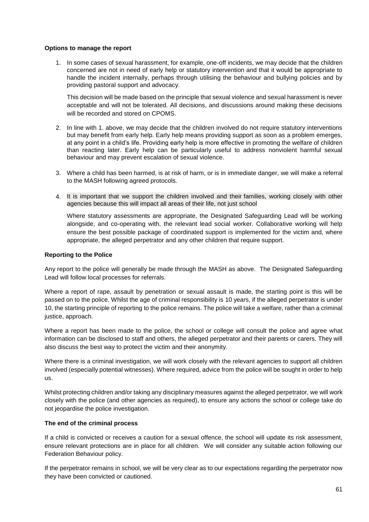#### **Options to manage the report**

1. In some cases of sexual harassment, for example, one-off incidents, we may decide that the children concerned are not in need of early help or statutory intervention and that it would be appropriate to handle the incident internally, perhaps through utilising the behaviour and bullying policies and by providing pastoral support and advocacy.

This decision will be made based on the principle that sexual violence and sexual harassment is never acceptable and will not be tolerated. All decisions, and discussions around making these decisions will be recorded and stored on CPOMS.

- 2. In line with 1. above, we may decide that the children involved do not require statutory interventions but may benefit from early help. Early help means providing support as soon as a problem emerges, at any point in a child's life. Providing early help is more effective in promoting the welfare of children than reacting later. Early help can be particularly useful to address nonviolent harmful sexual behaviour and may prevent escalation of sexual violence.
- 3. Where a child has been harmed, is at risk of harm, or is in immediate danger, we will make a referral to the MASH following agreed protocols.
- 4. It is important that we support the children involved and their families, working closely with other agencies because this will impact all areas of their life, not just school

Where statutory assessments are appropriate, the Designated Safeguarding Lead will be working alongside, and co-operating with, the relevant lead social worker. Collaborative working will help ensure the best possible package of coordinated support is implemented for the victim and, where appropriate, the alleged perpetrator and any other children that require support.

#### **Reporting to the Police**

Any report to the police will generally be made through the MASH as above. The Designated Safeguarding Lead will follow local processes for referrals.

Where a report of rape, assault by penetration or sexual assault is made, the starting point is this will be passed on to the police. Whilst the age of criminal responsibility is 10 years, if the alleged perpetrator is under 10, the starting principle of reporting to the police remains. The police will take a welfare, rather than a criminal justice, approach.

Where a report has been made to the police, the school or college will consult the police and agree what information can be disclosed to staff and others, the alleged perpetrator and their parents or carers. They will also discuss the best way to protect the victim and their anonymity.

Where there is a criminal investigation, we will work closely with the relevant agencies to support all children involved (especially potential witnesses). Where required, advice from the police will be sought in order to help us.

Whilst protecting children and/or taking any disciplinary measures against the alleged perpetrator, we will work closely with the police (and other agencies as required), to ensure any actions the school or college take do not jeopardise the police investigation.

#### **The end of the criminal process**

If a child is convicted or receives a caution for a sexual offence, the school will update its risk assessment, ensure relevant protections are in place for all children. We will consider any suitable action following our Federation Behaviour policy.

If the perpetrator remains in school, we will be very clear as to our expectations regarding the perpetrator now they have been convicted or cautioned.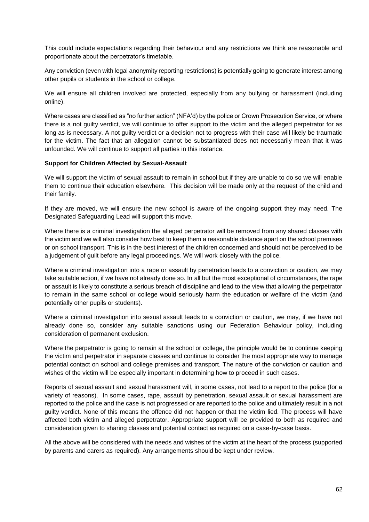This could include expectations regarding their behaviour and any restrictions we think are reasonable and proportionate about the perpetrator's timetable.

Any conviction (even with legal anonymity reporting restrictions) is potentially going to generate interest among other pupils or students in the school or college.

We will ensure all children involved are protected, especially from any bullying or harassment (including online).

Where cases are classified as "no further action" (NFA'd) by the police or Crown Prosecution Service, or where there is a not guilty verdict, we will continue to offer support to the victim and the alleged perpetrator for as long as is necessary. A not guilty verdict or a decision not to progress with their case will likely be traumatic for the victim. The fact that an allegation cannot be substantiated does not necessarily mean that it was unfounded. We will continue to support all parties in this instance.

#### **Support for Children Affected by Sexual-Assault**

We will support the victim of sexual assault to remain in school but if they are unable to do so we will enable them to continue their education elsewhere. This decision will be made only at the request of the child and their family.

If they are moved, we will ensure the new school is aware of the ongoing support they may need. The Designated Safeguarding Lead will support this move.

Where there is a criminal investigation the alleged perpetrator will be removed from any shared classes with the victim and we will also consider how best to keep them a reasonable distance apart on the school premises or on school transport. This is in the best interest of the children concerned and should not be perceived to be a judgement of guilt before any legal proceedings. We will work closely with the police.

Where a criminal investigation into a rape or assault by penetration leads to a conviction or caution, we may take suitable action, if we have not already done so. In all but the most exceptional of circumstances, the rape or assault is likely to constitute a serious breach of discipline and lead to the view that allowing the perpetrator to remain in the same school or college would seriously harm the education or welfare of the victim (and potentially other pupils or students).

Where a criminal investigation into sexual assault leads to a conviction or caution, we may, if we have not already done so, consider any suitable sanctions using our Federation Behaviour policy, including consideration of permanent exclusion.

Where the perpetrator is going to remain at the school or college, the principle would be to continue keeping the victim and perpetrator in separate classes and continue to consider the most appropriate way to manage potential contact on school and college premises and transport. The nature of the conviction or caution and wishes of the victim will be especially important in determining how to proceed in such cases.

Reports of sexual assault and sexual harassment will, in some cases, not lead to a report to the police (for a variety of reasons). In some cases, rape, assault by penetration, sexual assault or sexual harassment are reported to the police and the case is not progressed or are reported to the police and ultimately result in a not guilty verdict. None of this means the offence did not happen or that the victim lied. The process will have affected both victim and alleged perpetrator. Appropriate support will be provided to both as required and consideration given to sharing classes and potential contact as required on a case-by-case basis.

All the above will be considered with the needs and wishes of the victim at the heart of the process (supported by parents and carers as required). Any arrangements should be kept under review.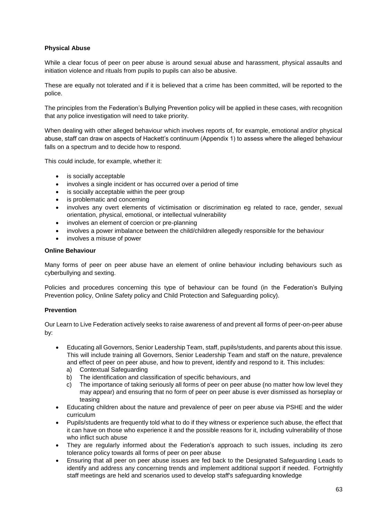#### **Physical Abuse**

While a clear focus of peer on peer abuse is around sexual abuse and harassment, physical assaults and initiation violence and rituals from pupils to pupils can also be abusive.

These are equally not tolerated and if it is believed that a crime has been committed, will be reported to the police.

The principles from the Federation's Bullying Prevention policy will be applied in these cases, with recognition that any police investigation will need to take priority.

When dealing with other alleged behaviour which involves reports of, for example, emotional and/or physical abuse, staff can draw on aspects of Hackett's continuum (Appendix 1) to assess where the alleged behaviour falls on a spectrum and to decide how to respond.

This could include, for example, whether it:

- is socially acceptable
- involves a single incident or has occurred over a period of time
- is socially acceptable within the peer group
- is problematic and concerning
- involves anv overt elements of victimisation or discrimination eg related to race, gender, sexual orientation, physical, emotional, or intellectual vulnerability
- involves an element of coercion or pre-planning
- involves a power imbalance between the child/children allegedly responsible for the behaviour
- involves a misuse of power

#### **Online Behaviour**

Many forms of peer on peer abuse have an element of online behaviour including behaviours such as cyberbullying and sexting.

Policies and procedures concerning this type of behaviour can be found (in the Federation's Bullying Prevention policy, Online Safety policy and Child Protection and Safeguarding policy).

#### **Prevention**

Our Learn to Live Federation actively seeks to raise awareness of and prevent all forms of peer-on-peer abuse by:

- Educating all Governors, Senior Leadership Team, staff, pupils/students, and parents about this issue. This will include training all Governors, Senior Leadership Team and staff on the nature, prevalence and effect of peer on peer abuse, and how to prevent, identify and respond to it. This includes:
	- a) Contextual Safeguarding
	- b) The identification and classification of specific behaviours, and
	- c) The importance of taking seriously all forms of peer on peer abuse (no matter how low level they may appear) and ensuring that no form of peer on peer abuse is ever dismissed as horseplay or teasing
- Educating children about the nature and prevalence of peer on peer abuse via PSHE and the wider curriculum
- Pupils/students are frequently told what to do if they witness or experience such abuse, the effect that it can have on those who experience it and the possible reasons for it, including vulnerability of those who inflict such abuse
- They are regularly informed about the Federation's approach to such issues, including its zero tolerance policy towards all forms of peer on peer abuse
- Ensuring that all peer on peer abuse issues are fed back to the Designated Safeguarding Leads to identify and address any concerning trends and implement additional support if needed. Fortnightly staff meetings are held and scenarios used to develop staff's safeguarding knowledge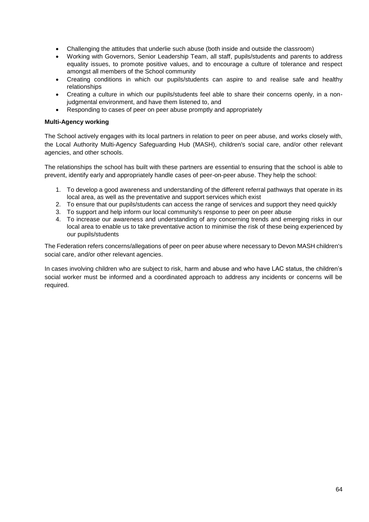- Challenging the attitudes that underlie such abuse (both inside and outside the classroom)
- Working with Governors, Senior Leadership Team, all staff, pupils/students and parents to address equality issues, to promote positive values, and to encourage a culture of tolerance and respect amongst all members of the School community
- Creating conditions in which our pupils/students can aspire to and realise safe and healthy relationships
- Creating a culture in which our pupils/students feel able to share their concerns openly, in a nonjudgmental environment, and have them listened to, and
- Responding to cases of peer on peer abuse promptly and appropriately

#### **Multi-Agency working**

The School actively engages with its local partners in relation to peer on peer abuse, and works closely with, the Local Authority Multi-Agency Safeguarding Hub (MASH), children's social care, and/or other relevant agencies, and other schools.

The relationships the school has built with these partners are essential to ensuring that the school is able to prevent, identify early and appropriately handle cases of peer-on-peer abuse. They help the school:

- 1. To develop a good awareness and understanding of the different referral pathways that operate in its local area, as well as the preventative and support services which exist
- 2. To ensure that our pupils/students can access the range of services and support they need quickly
- 3. To support and help inform our local community's response to peer on peer abuse
- 4. To increase our awareness and understanding of any concerning trends and emerging risks in our local area to enable us to take preventative action to minimise the risk of these being experienced by our pupils/students

The Federation refers concerns/allegations of peer on peer abuse where necessary to Devon MASH children's social care, and/or other relevant agencies.

In cases involving children who are subject to risk, harm and abuse and who have LAC status, the children's social worker must be informed and a coordinated approach to address any incidents or concerns will be required.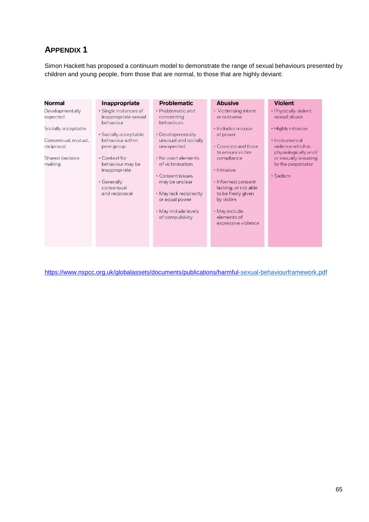## **APPENDIX 1**

Simon Hackett has proposed a continuum model to demonstrate the range of sexual behaviours presented by children and young people, from those that are normal, to those that are highly deviant:

| Normal                                                         | Inappropriate                                                       | <b>Problematic</b>                                                             | <b>Abusive</b>                                                                               | <b>Violent</b>                                                                                            |
|----------------------------------------------------------------|---------------------------------------------------------------------|--------------------------------------------------------------------------------|----------------------------------------------------------------------------------------------|-----------------------------------------------------------------------------------------------------------|
| Developmentally<br>expected                                    | · Single instances of<br>inappropriate sexual<br>behaviour          | • Problematic and<br>concerning<br>behaviours                                  | • Victimising intent<br>or outcome                                                           | · Physically violent<br>sexual abuse                                                                      |
| Socially acceptable                                            | · Socially acceptable                                               | · Developmentally                                                              | · Includes misuse<br>of power                                                                | • Highly intrusive                                                                                        |
| Consensual, mutual,<br>reciprocal<br>Shared decision<br>making | behaviour within<br>peer group<br>• Context for<br>behaviour may be | unusual and socially<br>unexpected<br>. No overt elements<br>of victimisation  | • Coercion and force<br>to ensure victim<br>compliance                                       | · Instrumental<br>violence which is<br>physiologically and/<br>or sexually arousing<br>to the perpetrator |
|                                                                | inappropriate<br>· Generally<br>consensual<br>and reciprocal        | • Consent issues<br>may be unclear<br>• May lack reciprocity<br>or equal power | · Intrusive<br>· Informed consent<br>lacking, or not able<br>to be freely given<br>by victim | · Sadism                                                                                                  |
|                                                                |                                                                     | · May include levels<br>of compulsivity                                        | • May include<br>elements of<br>expressive violence                                          |                                                                                                           |

<https://www.nspcc.org.uk/globalassets/documents/publications/harmful>[-sexual-behaviourframework.pdf](https://www.nspcc.org.uk/globalassets/documents/publications/harmful-sexual-behaviour-framework.pdf)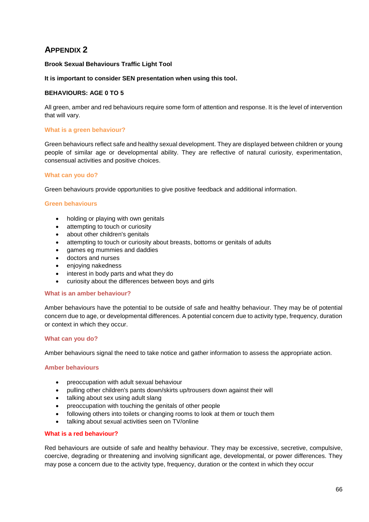## **APPENDIX 2**

#### **Brook Sexual Behaviours Traffic Light Tool**

#### **It is important to consider SEN presentation when using this tool.**

#### **BEHAVIOURS: AGE 0 TO 5**

All green, amber and red behaviours require some form of attention and response. It is the level of intervention that will vary.

#### **What is a green behaviour?**

Green behaviours reflect safe and healthy sexual development. They are displayed between children or young people of similar age or developmental ability. They are reflective of natural curiosity, experimentation, consensual activities and positive choices.

#### **What can you do?**

Green behaviours provide opportunities to give positive feedback and additional information.

#### **Green behaviours**

- holding or playing with own genitals
- attempting to touch or curiosity
- about other children's genitals
- attempting to touch or curiosity about breasts, bottoms or genitals of adults
- games eg mummies and daddies
- doctors and nurses
- enjoying nakedness
- interest in body parts and what they do
- curiosity about the differences between boys and girls

#### **What is an amber behaviour?**

Amber behaviours have the potential to be outside of safe and healthy behaviour. They may be of potential concern due to age, or developmental differences. A potential concern due to activity type, frequency, duration or context in which they occur.

#### **What can you do?**

Amber behaviours signal the need to take notice and gather information to assess the appropriate action.

#### **Amber behaviours**

- preoccupation with adult sexual behaviour
- pulling other children's pants down/skirts up/trousers down against their will
- talking about sex using adult slang
- preoccupation with touching the genitals of other people
- following others into toilets or changing rooms to look at them or touch them
- talking about sexual activities seen on TV/online

#### **What is a red behaviour?**

Red behaviours are outside of safe and healthy behaviour. They may be excessive, secretive, compulsive, coercive, degrading or threatening and involving significant age, developmental, or power differences. They may pose a concern due to the activity type, frequency, duration or the context in which they occur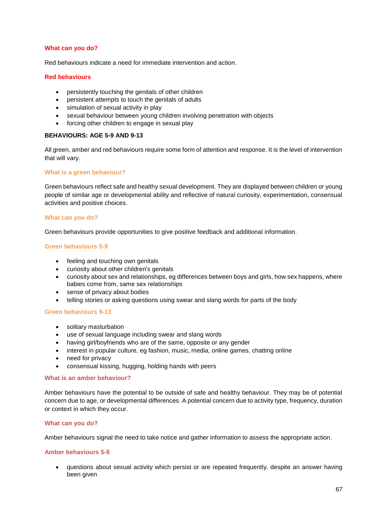#### **What can you do?**

Red behaviours indicate a need for immediate intervention and action.

#### **Red behaviours**

- persistently touching the genitals of other children
- persistent attempts to touch the genitals of adults
- simulation of sexual activity in play
- sexual behaviour between young children involving penetration with objects
- forcing other children to engage in sexual play

#### **BEHAVIOURS: AGE 5-9 AND 9-13**

All green, amber and red behaviours require some form of attention and response. It is the level of intervention that will vary.

#### **What is a green behaviour?**

Green behaviours reflect safe and healthy sexual development. They are displayed between children or young people of similar age or developmental ability and reflective of natural curiosity, experimentation, consensual activities and positive choices.

#### **What can you do?**

Green behaviours provide opportunities to give positive feedback and additional information.

#### **Green behaviours 5-9**

- feeling and touching own genitals
- curiosity about other children's genitals
- curiosity about sex and relationships, eg differences between boys and girls, how sex happens, where babies come from, same sex relationships
- sense of privacy about bodies
- telling stories or asking questions using swear and slang words for parts of the body

#### **Green behaviours 9-13**

- solitary masturbation
- use of sexual language including swear and slang words
- having girl/boyfriends who are of the same, opposite or any gender
- interest in popular culture, eg fashion, music, media, online games, chatting online
- need for privacy
- consensual kissing, hugging, holding hands with peers

#### **What is an amber behaviour?**

Amber behaviours have the potential to be outside of safe and healthy behaviour. They may be of potential concern due to age, or developmental differences. A potential concern due to activity type, frequency, duration or context in which they occur.

#### **What can you do?**

Amber behaviours signal the need to take notice and gather information to assess the appropriate action.

#### **Amber behaviours 5-9**

• questions about sexual activity which persist or are repeated frequently, despite an answer having been given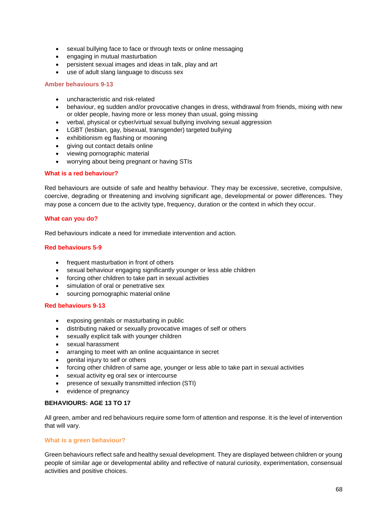- sexual bullying face to face or through texts or online messaging
- engaging in mutual masturbation
- persistent sexual images and ideas in talk, play and art
- use of adult slang language to discuss sex

#### **Amber behaviours 9-13**

- uncharacteristic and risk-related
- behaviour, eg sudden and/or provocative changes in dress, withdrawal from friends, mixing with new or older people, having more or less money than usual, going missing
- verbal, physical or cyber/virtual sexual bullying involving sexual aggression
- LGBT (lesbian, gay, bisexual, transgender) targeted bullying
- exhibitionism eg flashing or mooning
- giving out contact details online
- viewing pornographic material
- worrying about being pregnant or having STIs

#### **What is a red behaviour?**

Red behaviours are outside of safe and healthy behaviour. They may be excessive, secretive, compulsive, coercive, degrading or threatening and involving significant age, developmental or power differences. They may pose a concern due to the activity type, frequency, duration or the context in which they occur.

#### **What can you do?**

Red behaviours indicate a need for immediate intervention and action.

#### **Red behaviours 5-9**

- frequent masturbation in front of others
- sexual behaviour engaging significantly younger or less able children
- forcing other children to take part in sexual activities
- simulation of oral or penetrative sex
- sourcing pornographic material online

#### **Red behaviours 9-13**

- exposing genitals or masturbating in public
- distributing naked or sexually provocative images of self or others
- sexually explicit talk with younger children
- sexual harassment
- arranging to meet with an online acquaintance in secret
- genital injury to self or others
- forcing other children of same age, younger or less able to take part in sexual activities
- sexual activity eg oral sex or intercourse
- presence of sexually transmitted infection (STI)
- evidence of pregnancy

#### **BEHAVIOURS: AGE 13 TO 17**

All green, amber and red behaviours require some form of attention and response. It is the level of intervention that will vary.

#### **What is a green behaviour?**

Green behaviours reflect safe and healthy sexual development. They are displayed between children or young people of similar age or developmental ability and reflective of natural curiosity, experimentation, consensual activities and positive choices.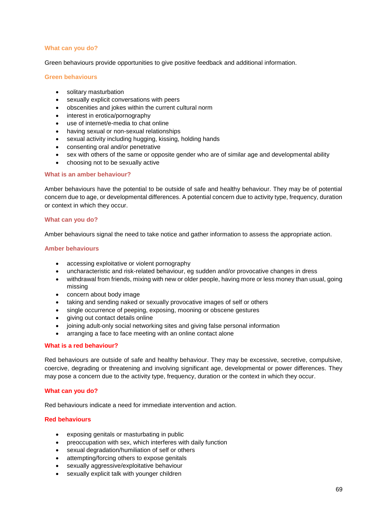#### **What can you do?**

Green behaviours provide opportunities to give positive feedback and additional information.

#### **Green behaviours**

- solitary masturbation
- sexually explicit conversations with peers
- obscenities and jokes within the current cultural norm
- interest in erotica/pornography
- use of internet/e-media to chat online
- having sexual or non-sexual relationships
- sexual activity including hugging, kissing, holding hands
- consenting oral and/or penetrative
- sex with others of the same or opposite gender who are of similar age and developmental ability
- choosing not to be sexually active

#### **What is an amber behaviour?**

Amber behaviours have the potential to be outside of safe and healthy behaviour. They may be of potential concern due to age, or developmental differences. A potential concern due to activity type, frequency, duration or context in which they occur.

#### **What can you do?**

Amber behaviours signal the need to take notice and gather information to assess the appropriate action.

#### **Amber behaviours**

- accessing exploitative or violent pornography
- uncharacteristic and risk-related behaviour, eg sudden and/or provocative changes in dress
- withdrawal from friends, mixing with new or older people, having more or less money than usual, going missing
- concern about body image
- taking and sending naked or sexually provocative images of self or others
- single occurrence of peeping, exposing, mooning or obscene gestures
- giving out contact details online
- joining adult-only social networking sites and giving false personal information
- arranging a face to face meeting with an online contact alone

#### **What is a red behaviour?**

Red behaviours are outside of safe and healthy behaviour. They may be excessive, secretive, compulsive, coercive, degrading or threatening and involving significant age, developmental or power differences. They may pose a concern due to the activity type, frequency, duration or the context in which they occur.

#### **What can you do?**

Red behaviours indicate a need for immediate intervention and action.

#### **Red behaviours**

- exposing genitals or masturbating in public
- preoccupation with sex, which interferes with daily function
- sexual degradation/humiliation of self or others
- attempting/forcing others to expose genitals
- sexually aggressive/exploitative behaviour
- sexually explicit talk with younger children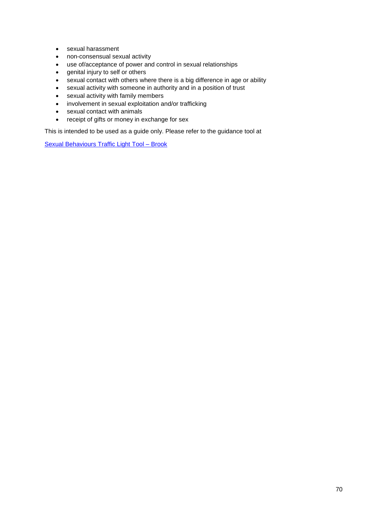- sexual harassment
- non-consensual sexual activity
- use of/acceptance of power and control in sexual relationships
- genital injury to self or others
- sexual contact with others where there is a big difference in age or ability
- sexual activity with someone in authority and in a position of trust
- sexual activity with family members
- involvement in sexual exploitation and/or trafficking
- sexual contact with animals
- receipt of gifts or money in exchange for sex

This is intended to be used as a guide only. Please refer to the guidance tool at

[Sexual Behaviours Traffic Light Tool –](https://www.brook.org.uk/training/wider-professional-training/sexual-behaviours-traffic-light-tool/) Brook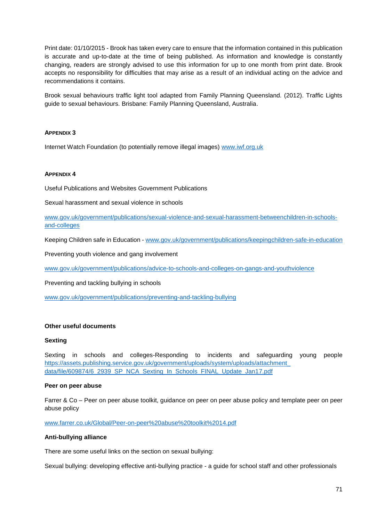Print date: 01/10/2015 - Brook has taken every care to ensure that the information contained in this publication is accurate and up-to-date at the time of being published. As information and knowledge is constantly changing, readers are strongly advised to use this information for up to one month from print date. Brook accepts no responsibility for difficulties that may arise as a result of an individual acting on the advice and recommendations it contains.

Brook sexual behaviours traffic light tool adapted from Family Planning Queensland. (2012). Traffic Lights guide to sexual behaviours. Brisbane: Family Planning Queensland, Australia.

#### **APPENDIX 3**

Internet Watch Foundation (to potentially remove illegal images) [www.iwf.org.uk](http://www.iwf.org.uk/)

#### **APPENDIX 4**

Useful Publications and Websites Government Publications

Sexual harassment and sexual violence in schools

[www.gov.uk/government/publications/sexual-violence-and-sexual-harassment-betweenchildren-in-schools](http://www.gov.uk/government/publications/sexual-violence-and-sexual-harassment-between-children-in-schools-and-colleges)[and-colleges](http://www.gov.uk/government/publications/sexual-violence-and-sexual-harassment-between-children-in-schools-and-colleges)

Keeping Children safe in Education [-](http://www.gov.uk/government/publications/keeping-children-safe-in-education) [www.gov.uk/government/publications/keepingchildren-safe-in-education](http://www.gov.uk/government/publications/keeping-children-safe-in-education)

Preventing youth violence and gang involvement

[www.gov.uk/government/publications/advice-to-schools-and-colleges-on-gangs-and-youthviolence](http://www.gov.uk/government/publications/advice-to-schools-and-colleges-on-gangs-and-youth-violence)

Preventing and tackling bullying in schools

[www.gov.uk/government/publications/preventing-and-tackling-bullying](http://www.gov.uk/government/publications/preventing-and-tackling-bullying)

#### **Other useful documents**

#### **Sexting**

Sexting in schools and colleges-Responding to incidents and safeguarding young people [https://assets.publishing.service.gov.uk/government/uploads/system/uploads/attachment\\_](https://assets.publishing.service.gov.uk/government/uploads/system/uploads/attachment_data/file/609874/6_2939_SP_NCA_Sexting_In_Schools_FINAL_Update_Jan17.pdf)  [data/file/609874/6\\_2939\\_SP\\_NCA\\_Sexting\\_In\\_Schools\\_FINAL\\_Update\\_Jan17.pdf](https://assets.publishing.service.gov.uk/government/uploads/system/uploads/attachment_data/file/609874/6_2939_SP_NCA_Sexting_In_Schools_FINAL_Update_Jan17.pdf)

#### **Peer on peer abuse**

Farrer & Co – Peer on peer abuse toolkit, guidance on peer on peer abuse policy and template peer on peer abuse policy

[www.farrer.co.uk/Global/Peer-on-peer%20abuse%20toolkit%2014.pdf](http://www.farrer.co.uk/Global/Peer-on-peer%20abuse%20toolkit%2014.pdf)

#### **Anti-bullying alliance**

There are some useful links on the section on sexual bullying:

Sexual bullying: developing effective anti-bullying practice - a guide for school staff and other professionals